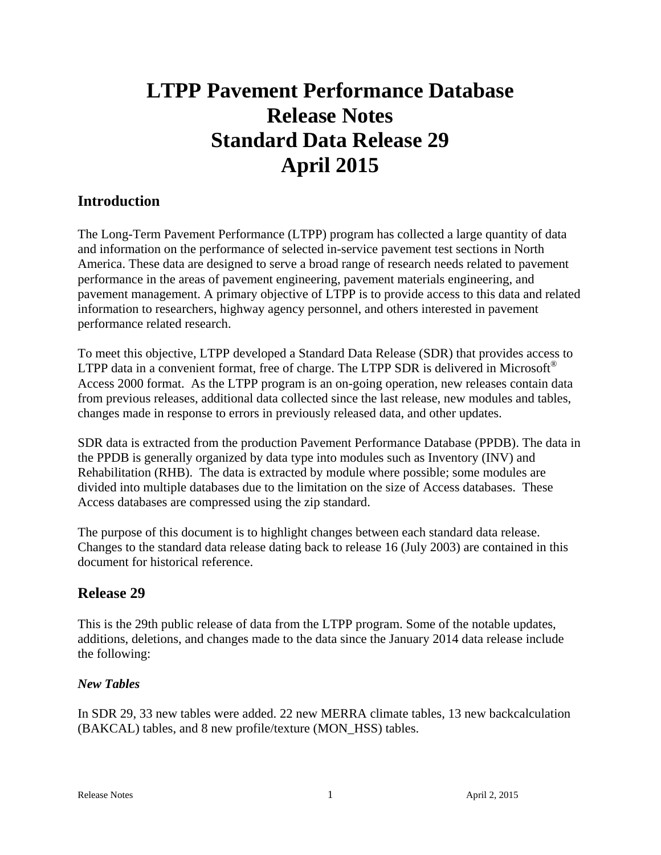# **LTPP Pavement Performance Database Release Notes Standard Data Release 29 April 2015**

# **Introduction**

The Long-Term Pavement Performance (LTPP) program has collected a large quantity of data and information on the performance of selected in-service pavement test sections in North America. These data are designed to serve a broad range of research needs related to pavement performance in the areas of pavement engineering, pavement materials engineering, and pavement management. A primary objective of LTPP is to provide access to this data and related information to researchers, highway agency personnel, and others interested in pavement performance related research.

To meet this objective, LTPP developed a Standard Data Release (SDR) that provides access to LTPP data in a convenient format, free of charge. The LTPP SDR is delivered in Microsoft<sup>®</sup> Access 2000 format. As the LTPP program is an on-going operation, new releases contain data from previous releases, additional data collected since the last release, new modules and tables, changes made in response to errors in previously released data, and other updates.

SDR data is extracted from the production Pavement Performance Database (PPDB). The data in the PPDB is generally organized by data type into modules such as Inventory (INV) and Rehabilitation (RHB). The data is extracted by module where possible; some modules are divided into multiple databases due to the limitation on the size of Access databases. These Access databases are compressed using the zip standard.

The purpose of this document is to highlight changes between each standard data release. Changes to the standard data release dating back to release 16 (July 2003) are contained in this document for historical reference.

# **Release 29**

This is the 29th public release of data from the LTPP program. Some of the notable updates, additions, deletions, and changes made to the data since the January 2014 data release include the following:

# *New Tables*

In SDR 29, 33 new tables were added. 22 new MERRA climate tables, 13 new backcalculation (BAKCAL) tables, and 8 new profile/texture (MON\_HSS) tables.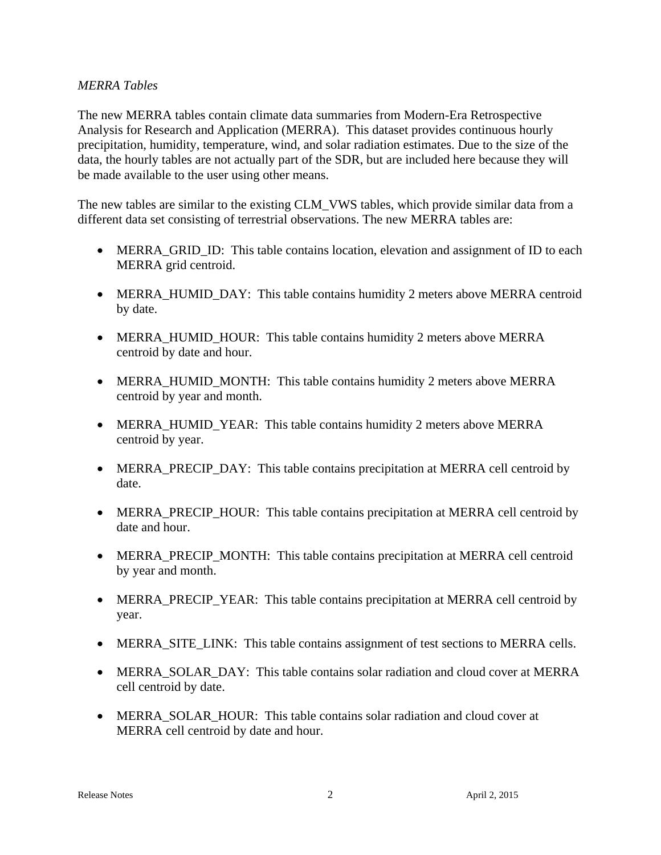#### *MERRA Tables*

The new MERRA tables contain climate data summaries from Modern-Era Retrospective Analysis for Research and Application (MERRA). This dataset provides continuous hourly precipitation, humidity, temperature, wind, and solar radiation estimates. Due to the size of the data, the hourly tables are not actually part of the SDR, but are included here because they will be made available to the user using other means.

The new tables are similar to the existing CLM VWS tables, which provide similar data from a different data set consisting of terrestrial observations. The new MERRA tables are:

- MERRA GRID ID: This table contains location, elevation and assignment of ID to each MERRA grid centroid.
- MERRA HUMID DAY: This table contains humidity 2 meters above MERRA centroid by date.
- MERRA\_HUMID\_HOUR: This table contains humidity 2 meters above MERRA centroid by date and hour.
- MERRA HUMID MONTH: This table contains humidity 2 meters above MERRA centroid by year and month.
- MERRA\_HUMID\_YEAR: This table contains humidity 2 meters above MERRA centroid by year.
- MERRA\_PRECIP\_DAY: This table contains precipitation at MERRA cell centroid by date.
- MERRA PRECIP HOUR: This table contains precipitation at MERRA cell centroid by date and hour.
- MERRA\_PRECIP\_MONTH: This table contains precipitation at MERRA cell centroid by year and month.
- MERRA\_PRECIP\_YEAR: This table contains precipitation at MERRA cell centroid by year.
- MERRA SITE LINK: This table contains assignment of test sections to MERRA cells.
- MERRA SOLAR DAY: This table contains solar radiation and cloud cover at MERRA cell centroid by date.
- MERRA SOLAR HOUR: This table contains solar radiation and cloud cover at MERRA cell centroid by date and hour.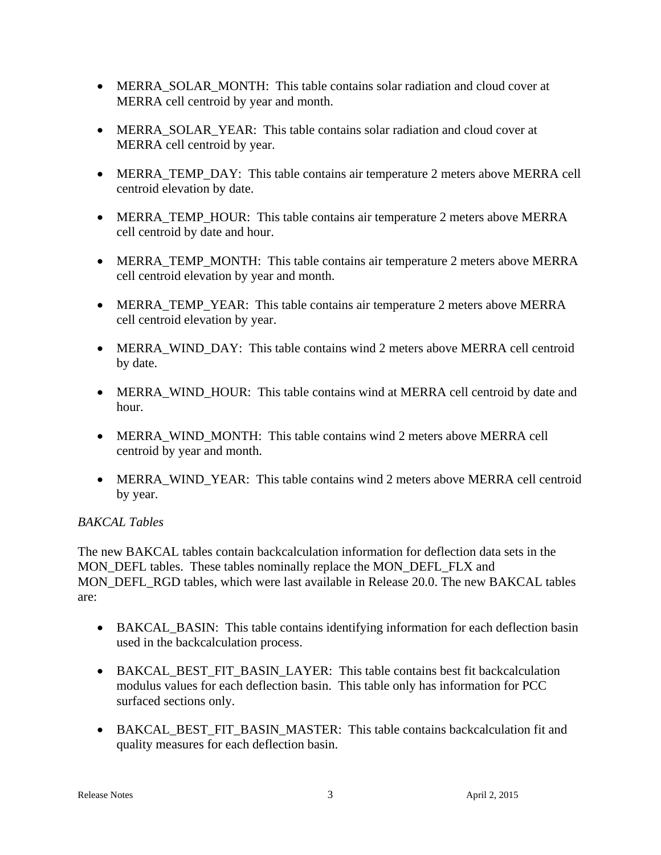- MERRA SOLAR MONTH: This table contains solar radiation and cloud cover at MERRA cell centroid by year and month.
- MERRA SOLAR YEAR: This table contains solar radiation and cloud cover at MERRA cell centroid by year.
- MERRA TEMP DAY: This table contains air temperature 2 meters above MERRA cell centroid elevation by date.
- MERRA\_TEMP\_HOUR: This table contains air temperature 2 meters above MERRA cell centroid by date and hour.
- MERRA\_TEMP\_MONTH: This table contains air temperature 2 meters above MERRA cell centroid elevation by year and month.
- MERRA\_TEMP\_YEAR: This table contains air temperature 2 meters above MERRA cell centroid elevation by year.
- MERRA\_WIND\_DAY: This table contains wind 2 meters above MERRA cell centroid by date.
- MERRA\_WIND\_HOUR: This table contains wind at MERRA cell centroid by date and hour.
- MERRA\_WIND\_MONTH: This table contains wind 2 meters above MERRA cell centroid by year and month.
- MERRA WIND YEAR: This table contains wind 2 meters above MERRA cell centroid by year.

# *BAKCAL Tables*

The new BAKCAL tables contain backcalculation information for deflection data sets in the MON DEFL tables. These tables nominally replace the MON DEFL FLX and MON\_DEFL\_RGD tables, which were last available in Release 20.0. The new BAKCAL tables are:

- BAKCAL\_BASIN: This table contains identifying information for each deflection basin used in the backcalculation process.
- BAKCAL\_BEST\_FIT\_BASIN\_LAYER: This table contains best fit backcalculation modulus values for each deflection basin. This table only has information for PCC surfaced sections only.
- BAKCAL\_BEST\_FIT\_BASIN\_MASTER: This table contains backcalculation fit and quality measures for each deflection basin.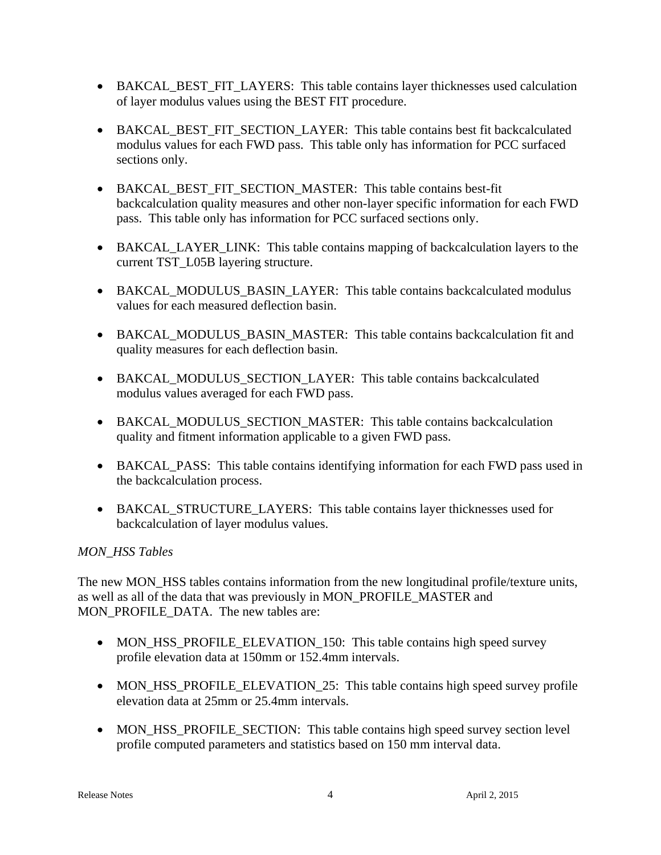- BAKCAL BEST FIT LAYERS: This table contains layer thicknesses used calculation of layer modulus values using the BEST FIT procedure.
- BAKCAL BEST FIT SECTION LAYER: This table contains best fit backcalculated modulus values for each FWD pass. This table only has information for PCC surfaced sections only.
- BAKCAL\_BEST\_FIT\_SECTION\_MASTER: This table contains best-fit backcalculation quality measures and other non-layer specific information for each FWD pass. This table only has information for PCC surfaced sections only.
- BAKCAL\_LAYER\_LINK: This table contains mapping of backcalculation layers to the current TST\_L05B layering structure.
- BAKCAL\_MODULUS\_BASIN\_LAYER: This table contains backcalculated modulus values for each measured deflection basin.
- BAKCAL\_MODULUS\_BASIN\_MASTER: This table contains backcalculation fit and quality measures for each deflection basin.
- BAKCAL MODULUS SECTION LAYER: This table contains backcalculated modulus values averaged for each FWD pass.
- BAKCAL\_MODULUS\_SECTION\_MASTER: This table contains backcalculation quality and fitment information applicable to a given FWD pass.
- BAKCAL PASS: This table contains identifying information for each FWD pass used in the backcalculation process.
- BAKCAL\_STRUCTURE\_LAYERS: This table contains layer thicknesses used for backcalculation of layer modulus values.

# *MON\_HSS Tables*

The new MON\_HSS tables contains information from the new longitudinal profile/texture units, as well as all of the data that was previously in MON\_PROFILE\_MASTER and MON\_PROFILE\_DATA. The new tables are:

- MON\_HSS\_PROFILE\_ELEVATION\_150: This table contains high speed survey profile elevation data at 150mm or 152.4mm intervals.
- MON HSS PROFILE ELEVATION 25: This table contains high speed survey profile elevation data at 25mm or 25.4mm intervals.
- MON\_HSS\_PROFILE\_SECTION: This table contains high speed survey section level profile computed parameters and statistics based on 150 mm interval data.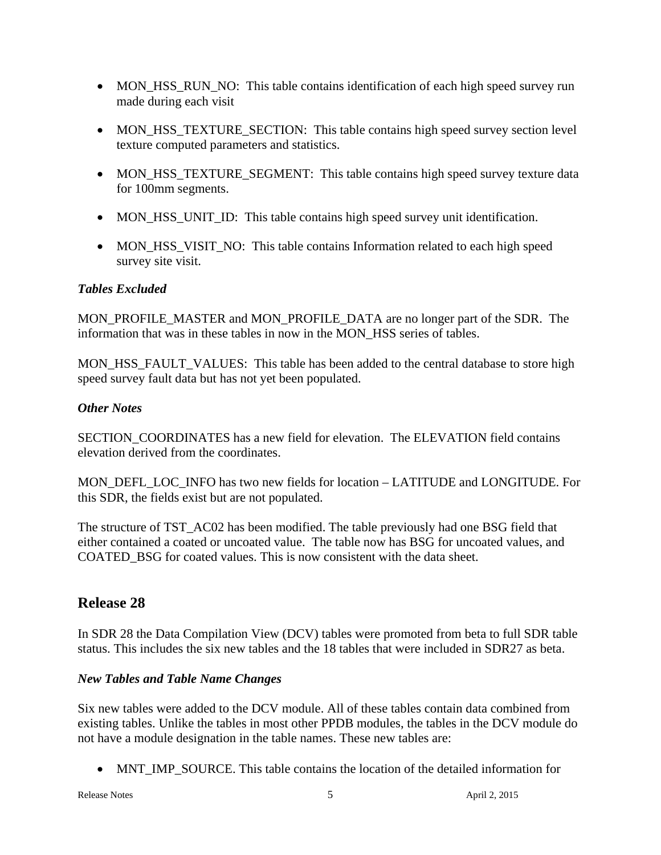- MON\_HSS\_RUN\_NO: This table contains identification of each high speed survey run made during each visit
- MON\_HSS\_TEXTURE\_SECTION: This table contains high speed survey section level texture computed parameters and statistics.
- MON HSS TEXTURE SEGMENT: This table contains high speed survey texture data for 100mm segments.
- MON\_HSS\_UNIT\_ID: This table contains high speed survey unit identification.
- MON HSS VISIT NO: This table contains Information related to each high speed survey site visit.

# *Tables Excluded*

MON\_PROFILE\_MASTER and MON\_PROFILE\_DATA are no longer part of the SDR. The information that was in these tables in now in the MON\_HSS series of tables.

MON\_HSS\_FAULT\_VALUES: This table has been added to the central database to store high speed survey fault data but has not yet been populated.

# *Other Notes*

SECTION\_COORDINATES has a new field for elevation. The ELEVATION field contains elevation derived from the coordinates.

MON\_DEFL\_LOC\_INFO has two new fields for location – LATITUDE and LONGITUDE. For this SDR, the fields exist but are not populated.

The structure of TST\_AC02 has been modified. The table previously had one BSG field that either contained a coated or uncoated value. The table now has BSG for uncoated values, and COATED\_BSG for coated values. This is now consistent with the data sheet.

# **Release 28**

In SDR 28 the Data Compilation View (DCV) tables were promoted from beta to full SDR table status. This includes the six new tables and the 18 tables that were included in SDR27 as beta.

# *New Tables and Table Name Changes*

Six new tables were added to the DCV module. All of these tables contain data combined from existing tables. Unlike the tables in most other PPDB modules, the tables in the DCV module do not have a module designation in the table names. These new tables are:

• MNT\_IMP\_SOURCE. This table contains the location of the detailed information for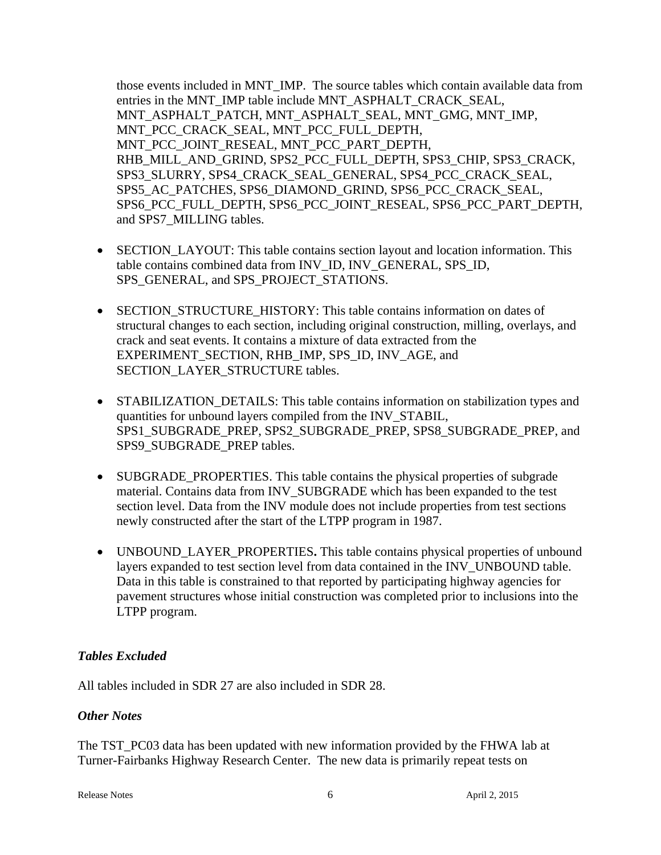those events included in MNT\_IMP. The source tables which contain available data from entries in the MNT\_IMP table include MNT\_ASPHALT\_CRACK\_SEAL, MNT\_ASPHALT\_PATCH, MNT\_ASPHALT\_SEAL, MNT\_GMG, MNT\_IMP, MNT\_PCC\_CRACK\_SEAL, MNT\_PCC\_FULL\_DEPTH, MNT\_PCC\_JOINT\_RESEAL, MNT\_PCC\_PART\_DEPTH, RHB\_MILL\_AND\_GRIND, SPS2\_PCC\_FULL\_DEPTH, SPS3\_CHIP, SPS3\_CRACK, SPS3\_SLURRY, SPS4\_CRACK\_SEAL\_GENERAL, SPS4\_PCC\_CRACK\_SEAL, SPS5\_AC\_PATCHES, SPS6\_DIAMOND\_GRIND, SPS6\_PCC\_CRACK\_SEAL, SPS6\_PCC\_FULL\_DEPTH, SPS6\_PCC\_JOINT\_RESEAL, SPS6\_PCC\_PART\_DEPTH, and SPS7\_MILLING tables.

- SECTION LAYOUT: This table contains section layout and location information. This table contains combined data from INV\_ID, INV\_GENERAL, SPS\_ID, SPS\_GENERAL, and SPS\_PROJECT\_STATIONS.
- SECTION STRUCTURE HISTORY: This table contains information on dates of structural changes to each section, including original construction, milling, overlays, and crack and seat events. It contains a mixture of data extracted from the EXPERIMENT\_SECTION, RHB\_IMP, SPS\_ID, INV\_AGE, and SECTION\_LAYER\_STRUCTURE tables.
- STABILIZATION\_DETAILS: This table contains information on stabilization types and quantities for unbound layers compiled from the INV\_STABIL, SPS1\_SUBGRADE\_PREP, SPS2\_SUBGRADE\_PREP, SPS8\_SUBGRADE\_PREP, and SPS9\_SUBGRADE\_PREP tables.
- SUBGRADE PROPERTIES. This table contains the physical properties of subgrade material. Contains data from INV\_SUBGRADE which has been expanded to the test section level. Data from the INV module does not include properties from test sections newly constructed after the start of the LTPP program in 1987.
- UNBOUND\_LAYER\_PROPERTIES**.** This table contains physical properties of unbound layers expanded to test section level from data contained in the INV\_UNBOUND table. Data in this table is constrained to that reported by participating highway agencies for pavement structures whose initial construction was completed prior to inclusions into the LTPP program.

# *Tables Excluded*

All tables included in SDR 27 are also included in SDR 28.

# *Other Notes*

The TST PC03 data has been updated with new information provided by the FHWA lab at Turner-Fairbanks Highway Research Center. The new data is primarily repeat tests on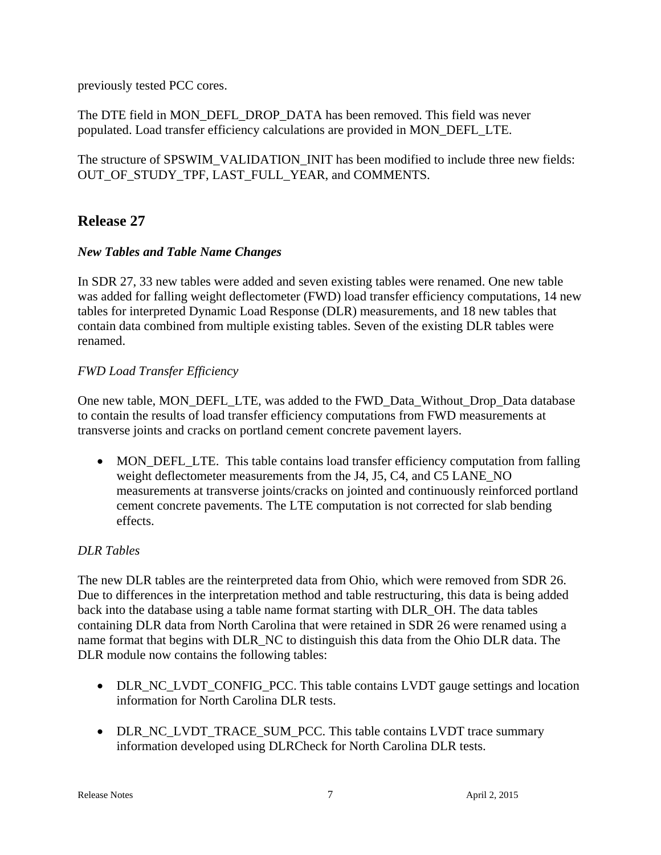previously tested PCC cores.

The DTE field in MON\_DEFL\_DROP\_DATA has been removed. This field was never populated. Load transfer efficiency calculations are provided in MON\_DEFL\_LTE.

The structure of SPSWIM\_VALIDATION\_INIT has been modified to include three new fields: OUT\_OF\_STUDY\_TPF, LAST\_FULL\_YEAR, and COMMENTS.

# **Release 27**

#### *New Tables and Table Name Changes*

In SDR 27, 33 new tables were added and seven existing tables were renamed. One new table was added for falling weight deflectometer (FWD) load transfer efficiency computations, 14 new tables for interpreted Dynamic Load Response (DLR) measurements, and 18 new tables that contain data combined from multiple existing tables. Seven of the existing DLR tables were renamed.

#### *FWD Load Transfer Efficiency*

One new table, MON\_DEFL\_LTE, was added to the FWD\_Data\_Without\_Drop\_Data database to contain the results of load transfer efficiency computations from FWD measurements at transverse joints and cracks on portland cement concrete pavement layers.

• MON\_DEFL\_LTE. This table contains load transfer efficiency computation from falling weight deflectometer measurements from the J4, J5, C4, and C5 LANE\_NO measurements at transverse joints/cracks on jointed and continuously reinforced portland cement concrete pavements. The LTE computation is not corrected for slab bending effects.

# *DLR Tables*

The new DLR tables are the reinterpreted data from Ohio, which were removed from SDR 26. Due to differences in the interpretation method and table restructuring, this data is being added back into the database using a table name format starting with DLR\_OH. The data tables containing DLR data from North Carolina that were retained in SDR 26 were renamed using a name format that begins with DLR\_NC to distinguish this data from the Ohio DLR data. The DLR module now contains the following tables:

- DLR\_NC\_LVDT\_CONFIG\_PCC. This table contains LVDT gauge settings and location information for North Carolina DLR tests.
- DLR\_NC\_LVDT\_TRACE\_SUM\_PCC. This table contains LVDT trace summary information developed using DLRCheck for North Carolina DLR tests.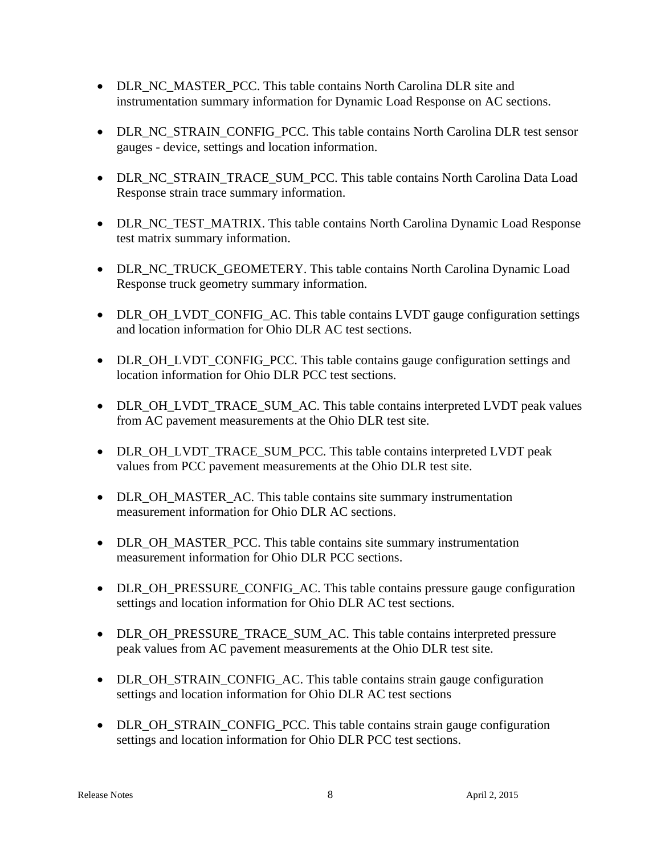- DLR\_NC\_MASTER\_PCC. This table contains North Carolina DLR site and instrumentation summary information for Dynamic Load Response on AC sections.
- DLR\_NC\_STRAIN\_CONFIG\_PCC. This table contains North Carolina DLR test sensor gauges - device, settings and location information.
- DLR\_NC\_STRAIN\_TRACE\_SUM\_PCC. This table contains North Carolina Data Load Response strain trace summary information.
- DLR\_NC\_TEST\_MATRIX. This table contains North Carolina Dynamic Load Response test matrix summary information.
- DLR\_NC\_TRUCK\_GEOMETERY. This table contains North Carolina Dynamic Load Response truck geometry summary information.
- DLR\_OH\_LVDT\_CONFIG\_AC. This table contains LVDT gauge configuration settings and location information for Ohio DLR AC test sections.
- DLR\_OH\_LVDT\_CONFIG\_PCC. This table contains gauge configuration settings and location information for Ohio DLR PCC test sections.
- DLR\_OH\_LVDT\_TRACE\_SUM\_AC. This table contains interpreted LVDT peak values from AC pavement measurements at the Ohio DLR test site.
- DLR\_OH\_LVDT\_TRACE\_SUM\_PCC. This table contains interpreted LVDT peak values from PCC pavement measurements at the Ohio DLR test site.
- DLR\_OH\_MASTER\_AC. This table contains site summary instrumentation measurement information for Ohio DLR AC sections.
- DLR\_OH\_MASTER\_PCC. This table contains site summary instrumentation measurement information for Ohio DLR PCC sections.
- DLR\_OH\_PRESSURE\_CONFIG\_AC. This table contains pressure gauge configuration settings and location information for Ohio DLR AC test sections.
- DLR\_OH\_PRESSURE\_TRACE\_SUM\_AC. This table contains interpreted pressure peak values from AC pavement measurements at the Ohio DLR test site.
- DLR\_OH\_STRAIN\_CONFIG\_AC. This table contains strain gauge configuration settings and location information for Ohio DLR AC test sections
- DLR\_OH\_STRAIN\_CONFIG\_PCC. This table contains strain gauge configuration settings and location information for Ohio DLR PCC test sections.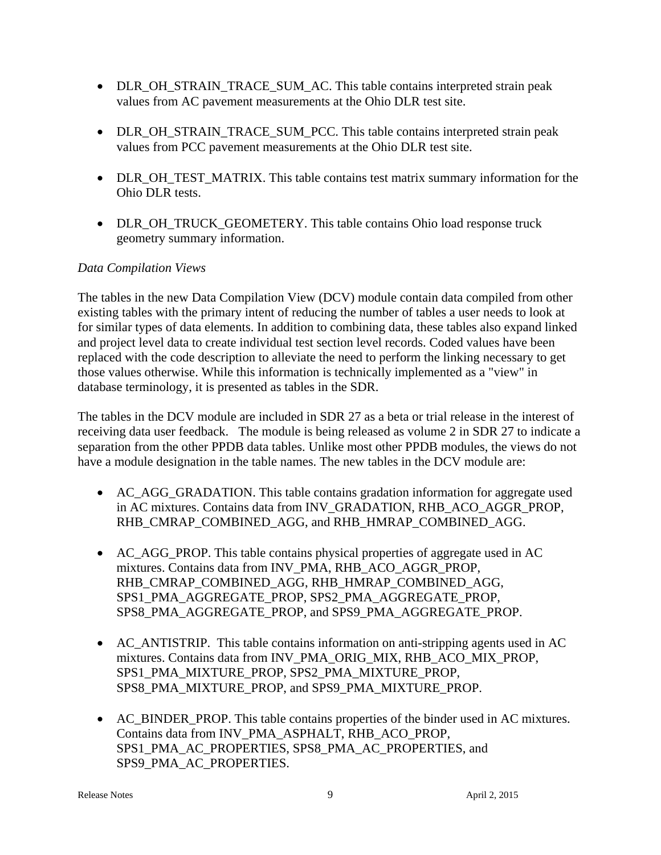- DLR\_OH\_STRAIN\_TRACE\_SUM\_AC. This table contains interpreted strain peak values from AC pavement measurements at the Ohio DLR test site.
- DLR\_OH\_STRAIN\_TRACE\_SUM\_PCC. This table contains interpreted strain peak values from PCC pavement measurements at the Ohio DLR test site.
- DLR\_OH\_TEST\_MATRIX. This table contains test matrix summary information for the Ohio DLR tests.
- DLR\_OH\_TRUCK\_GEOMETERY. This table contains Ohio load response truck geometry summary information.

# *Data Compilation Views*

The tables in the new Data Compilation View (DCV) module contain data compiled from other existing tables with the primary intent of reducing the number of tables a user needs to look at for similar types of data elements. In addition to combining data, these tables also expand linked and project level data to create individual test section level records. Coded values have been replaced with the code description to alleviate the need to perform the linking necessary to get those values otherwise. While this information is technically implemented as a "view" in database terminology, it is presented as tables in the SDR.

The tables in the DCV module are included in SDR 27 as a beta or trial release in the interest of receiving data user feedback. The module is being released as volume 2 in SDR 27 to indicate a separation from the other PPDB data tables. Unlike most other PPDB modules, the views do not have a module designation in the table names. The new tables in the DCV module are:

- AC\_AGG\_GRADATION. This table contains gradation information for aggregate used in AC mixtures. Contains data from INV\_GRADATION, RHB\_ACO\_AGGR\_PROP, RHB\_CMRAP\_COMBINED\_AGG, and RHB\_HMRAP\_COMBINED\_AGG.
- AC AGG PROP. This table contains physical properties of aggregate used in AC mixtures. Contains data from INV\_PMA, RHB\_ACO\_AGGR\_PROP, RHB\_CMRAP\_COMBINED\_AGG, RHB\_HMRAP\_COMBINED\_AGG, SPS1\_PMA\_AGGREGATE\_PROP, SPS2\_PMA\_AGGREGATE\_PROP, SPS8\_PMA\_AGGREGATE\_PROP, and SPS9\_PMA\_AGGREGATE\_PROP.
- AC\_ANTISTRIP. This table contains information on anti-stripping agents used in AC mixtures. Contains data from INV\_PMA\_ORIG\_MIX, RHB\_ACO\_MIX\_PROP, SPS1\_PMA\_MIXTURE\_PROP, SPS2\_PMA\_MIXTURE\_PROP, SPS8\_PMA\_MIXTURE\_PROP, and SPS9\_PMA\_MIXTURE\_PROP.
- AC\_BINDER\_PROP. This table contains properties of the binder used in AC mixtures. Contains data from INV\_PMA\_ASPHALT, RHB\_ACO\_PROP, SPS1\_PMA\_AC\_PROPERTIES, SPS8\_PMA\_AC\_PROPERTIES, and SPS9\_PMA\_AC\_PROPERTIES.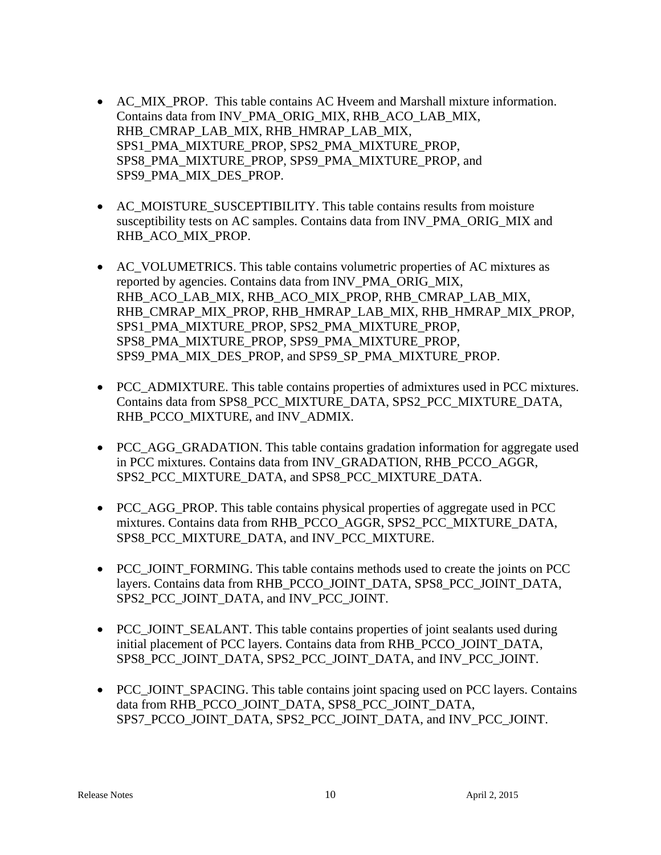- AC\_MIX\_PROP. This table contains AC Hveem and Marshall mixture information. Contains data from INV\_PMA\_ORIG\_MIX, RHB\_ACO\_LAB\_MIX, RHB\_CMRAP\_LAB\_MIX, RHB\_HMRAP\_LAB\_MIX, SPS1\_PMA\_MIXTURE\_PROP, SPS2\_PMA\_MIXTURE\_PROP, SPS8\_PMA\_MIXTURE\_PROP, SPS9\_PMA\_MIXTURE\_PROP, and SPS9\_PMA\_MIX\_DES\_PROP.
- AC MOISTURE SUSCEPTIBILITY. This table contains results from moisture susceptibility tests on AC samples. Contains data from INV\_PMA\_ORIG\_MIX and RHB\_ACO\_MIX\_PROP.
- AC\_VOLUMETRICS. This table contains volumetric properties of AC mixtures as reported by agencies. Contains data from INV\_PMA\_ORIG\_MIX, RHB\_ACO\_LAB\_MIX, RHB\_ACO\_MIX\_PROP, RHB\_CMRAP\_LAB\_MIX, RHB\_CMRAP\_MIX\_PROP, RHB\_HMRAP\_LAB\_MIX, RHB\_HMRAP\_MIX\_PROP, SPS1\_PMA\_MIXTURE\_PROP, SPS2\_PMA\_MIXTURE\_PROP, SPS8\_PMA\_MIXTURE\_PROP, SPS9\_PMA\_MIXTURE\_PROP, SPS9\_PMA\_MIX\_DES\_PROP, and SPS9\_SP\_PMA\_MIXTURE\_PROP.
- PCC\_ADMIXTURE. This table contains properties of admixtures used in PCC mixtures. Contains data from SPS8\_PCC\_MIXTURE\_DATA, SPS2\_PCC\_MIXTURE\_DATA, RHB\_PCCO\_MIXTURE, and INV\_ADMIX.
- PCC AGG GRADATION. This table contains gradation information for aggregate used in PCC mixtures. Contains data from INV\_GRADATION, RHB\_PCCO\_AGGR, SPS2\_PCC\_MIXTURE\_DATA, and SPS8\_PCC\_MIXTURE\_DATA.
- PCC AGG PROP. This table contains physical properties of aggregate used in PCC mixtures. Contains data from RHB\_PCCO\_AGGR, SPS2\_PCC\_MIXTURE\_DATA, SPS8\_PCC\_MIXTURE\_DATA, and INV\_PCC\_MIXTURE.
- PCC\_JOINT\_FORMING. This table contains methods used to create the joints on PCC layers. Contains data from RHB\_PCCO\_JOINT\_DATA, SPS8\_PCC\_JOINT\_DATA, SPS2\_PCC\_JOINT\_DATA, and INV\_PCC\_JOINT.
- PCC\_JOINT\_SEALANT. This table contains properties of joint sealants used during initial placement of PCC layers. Contains data from RHB\_PCCO\_JOINT\_DATA, SPS8\_PCC\_JOINT\_DATA, SPS2\_PCC\_JOINT\_DATA, and INV\_PCC\_JOINT.
- PCC JOINT SPACING. This table contains joint spacing used on PCC layers. Contains data from RHB\_PCCO\_JOINT\_DATA, SPS8\_PCC\_JOINT\_DATA, SPS7\_PCCO\_JOINT\_DATA, SPS2\_PCC\_JOINT\_DATA, and INV\_PCC\_JOINT.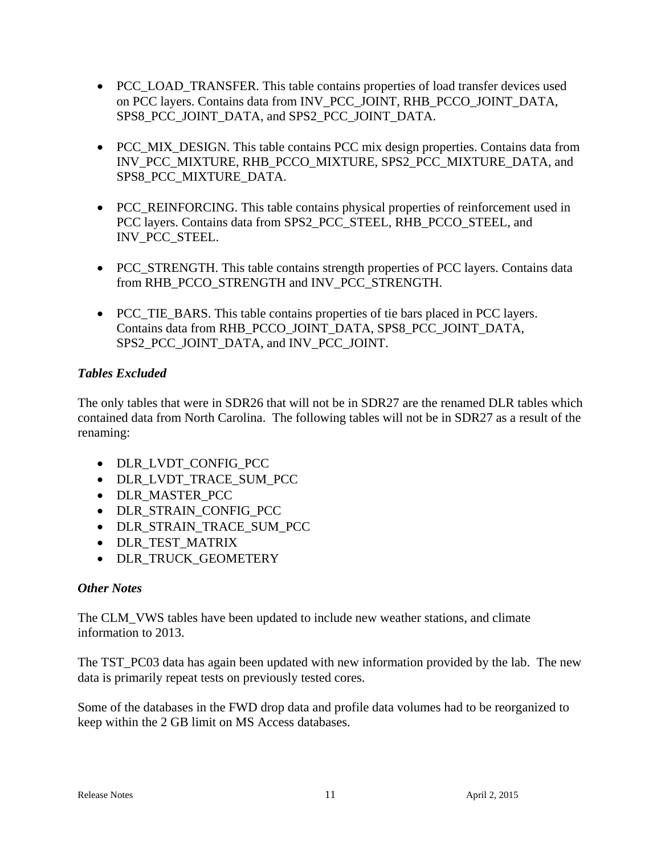- PCC LOAD TRANSFER. This table contains properties of load transfer devices used on PCC layers. Contains data from INV\_PCC\_JOINT, RHB\_PCCO\_JOINT\_DATA, SPS8\_PCC\_JOINT\_DATA, and SPS2\_PCC\_JOINT\_DATA.
- PCC\_MIX\_DESIGN. This table contains PCC mix design properties. Contains data from INV\_PCC\_MIXTURE, RHB\_PCCO\_MIXTURE, SPS2\_PCC\_MIXTURE\_DATA, and SPS8\_PCC\_MIXTURE\_DATA.
- PCC\_REINFORCING. This table contains physical properties of reinforcement used in PCC layers. Contains data from SPS2\_PCC\_STEEL, RHB\_PCCO\_STEEL, and INV\_PCC\_STEEL.
- PCC STRENGTH. This table contains strength properties of PCC layers. Contains data from RHB\_PCCO\_STRENGTH and INV\_PCC\_STRENGTH.
- PCC\_TIE\_BARS. This table contains properties of tie bars placed in PCC layers. Contains data from RHB\_PCCO\_JOINT\_DATA, SPS8\_PCC\_JOINT\_DATA, SPS2\_PCC\_JOINT\_DATA, and INV\_PCC\_JOINT.

# *Tables Excluded*

The only tables that were in SDR26 that will not be in SDR27 are the renamed DLR tables which contained data from North Carolina. The following tables will not be in SDR27 as a result of the renaming:

- DLR\_LVDT\_CONFIG\_PCC
- DLR\_LVDT\_TRACE\_SUM\_PCC
- DLR\_MASTER\_PCC
- DLR\_STRAIN\_CONFIG\_PCC
- DLR STRAIN TRACE SUM PCC
- DLR TEST MATRIX
- DLR TRUCK GEOMETERY

# *Other Notes*

The CLM\_VWS tables have been updated to include new weather stations, and climate information to 2013.

The TST\_PC03 data has again been updated with new information provided by the lab. The new data is primarily repeat tests on previously tested cores.

Some of the databases in the FWD drop data and profile data volumes had to be reorganized to keep within the 2 GB limit on MS Access databases.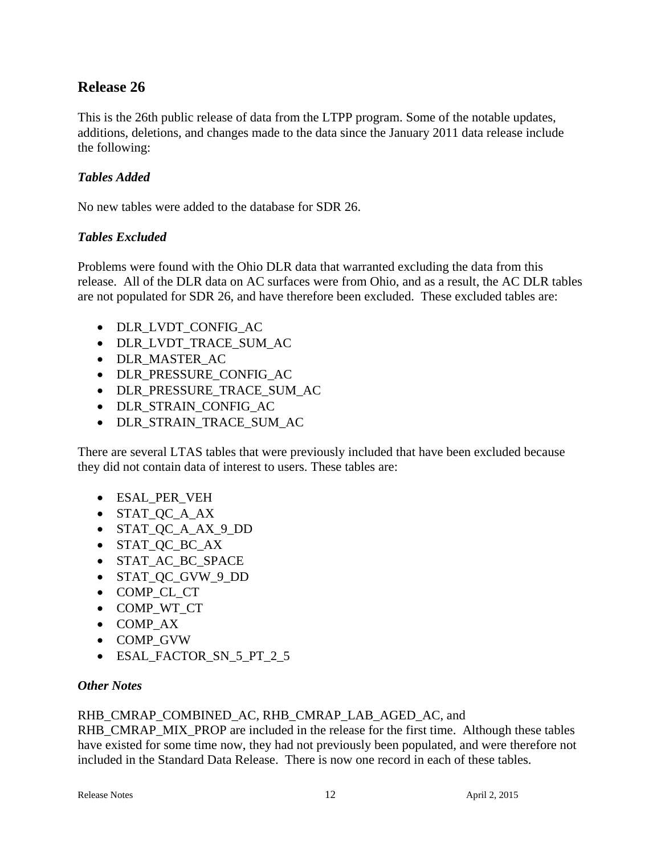# **Release 26**

This is the 26th public release of data from the LTPP program. Some of the notable updates, additions, deletions, and changes made to the data since the January 2011 data release include the following:

# *Tables Added*

No new tables were added to the database for SDR 26.

#### *Tables Excluded*

Problems were found with the Ohio DLR data that warranted excluding the data from this release. All of the DLR data on AC surfaces were from Ohio, and as a result, the AC DLR tables are not populated for SDR 26, and have therefore been excluded. These excluded tables are:

- DLR\_LVDT\_CONFIG\_AC
- DLR\_LVDT\_TRACE\_SUM\_AC
- DLR MASTER AC
- DLR\_PRESSURE\_CONFIG\_AC
- DLR\_PRESSURE\_TRACE\_SUM\_AC
- DLR STRAIN CONFIG AC
- DLR\_STRAIN\_TRACE\_SUM\_AC

There are several LTAS tables that were previously included that have been excluded because they did not contain data of interest to users. These tables are:

- ESAL\_PER\_VEH
- STAT\_QC\_A\_AX
- STAT\_QC\_A\_AX\_9\_DD
- STAT\_QC\_BC\_AX
- STAT AC BC SPACE
- STAT\_QC\_GVW\_9\_DD
- COMP\_CL\_CT
- COMP\_WT\_CT
- COMP AX
- COMP\_GVW
- ESAL\_FACTOR\_SN\_5\_PT\_2\_5

#### *Other Notes*

#### RHB\_CMRAP\_COMBINED\_AC, RHB\_CMRAP\_LAB\_AGED\_AC, and

RHB\_CMRAP\_MIX\_PROP are included in the release for the first time. Although these tables have existed for some time now, they had not previously been populated, and were therefore not included in the Standard Data Release. There is now one record in each of these tables.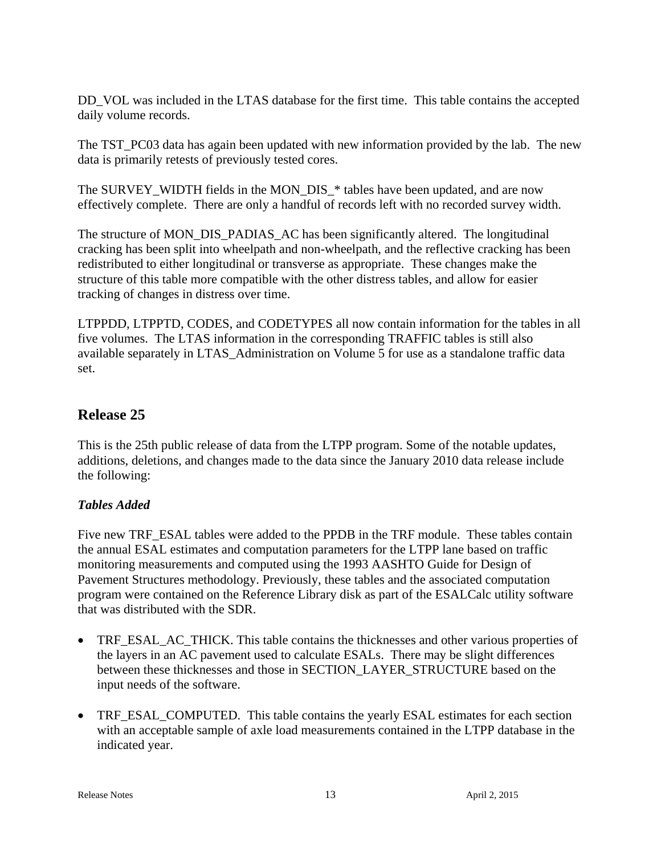DD\_VOL was included in the LTAS database for the first time. This table contains the accepted daily volume records.

The TST PC03 data has again been updated with new information provided by the lab. The new data is primarily retests of previously tested cores.

The SURVEY\_WIDTH fields in the MON\_DIS\_\* tables have been updated, and are now effectively complete. There are only a handful of records left with no recorded survey width.

The structure of MON\_DIS\_PADIAS\_AC has been significantly altered. The longitudinal cracking has been split into wheelpath and non-wheelpath, and the reflective cracking has been redistributed to either longitudinal or transverse as appropriate. These changes make the structure of this table more compatible with the other distress tables, and allow for easier tracking of changes in distress over time.

LTPPDD, LTPPTD, CODES, and CODETYPES all now contain information for the tables in all five volumes. The LTAS information in the corresponding TRAFFIC tables is still also available separately in LTAS\_Administration on Volume 5 for use as a standalone traffic data set.

# **Release 25**

This is the 25th public release of data from the LTPP program. Some of the notable updates, additions, deletions, and changes made to the data since the January 2010 data release include the following:

# *Tables Added*

Five new TRF\_ESAL tables were added to the PPDB in the TRF module. These tables contain the annual ESAL estimates and computation parameters for the LTPP lane based on traffic monitoring measurements and computed using the 1993 AASHTO Guide for Design of Pavement Structures methodology. Previously, these tables and the associated computation program were contained on the Reference Library disk as part of the ESALCalc utility software that was distributed with the SDR.

- TRF ESAL AC THICK. This table contains the thicknesses and other various properties of the layers in an AC pavement used to calculate ESALs. There may be slight differences between these thicknesses and those in SECTION\_LAYER\_STRUCTURE based on the input needs of the software.
- TRF\_ESAL\_COMPUTED. This table contains the yearly ESAL estimates for each section with an acceptable sample of axle load measurements contained in the LTPP database in the indicated year.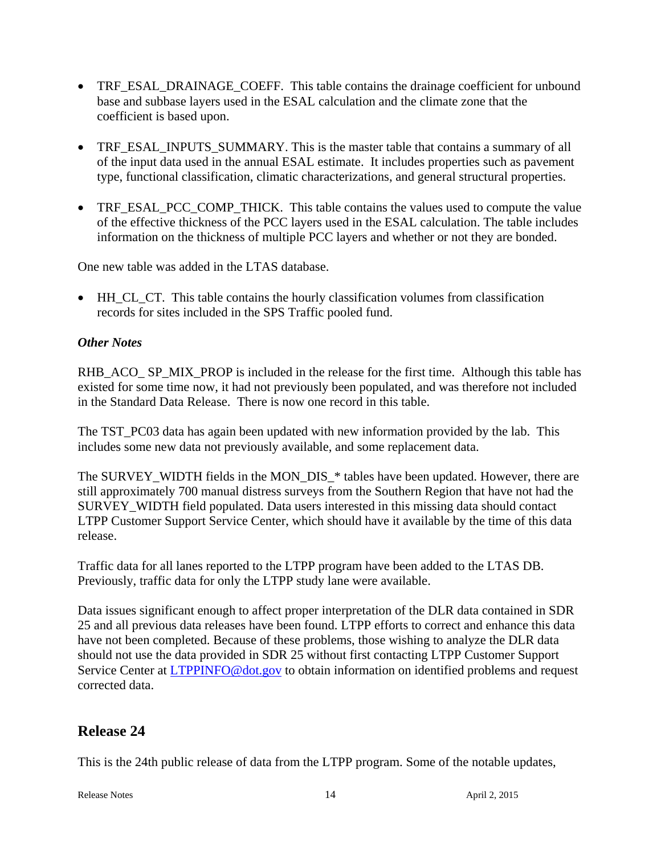- TRF\_ESAL\_DRAINAGE\_COEFF. This table contains the drainage coefficient for unbound base and subbase layers used in the ESAL calculation and the climate zone that the coefficient is based upon.
- TRF\_ESAL\_INPUTS\_SUMMARY. This is the master table that contains a summary of all of the input data used in the annual ESAL estimate. It includes properties such as pavement type, functional classification, climatic characterizations, and general structural properties.
- TRF\_ESAL\_PCC\_COMP\_THICK. This table contains the values used to compute the value of the effective thickness of the PCC layers used in the ESAL calculation. The table includes information on the thickness of multiple PCC layers and whether or not they are bonded.

One new table was added in the LTAS database.

• HH CL CT. This table contains the hourly classification volumes from classification records for sites included in the SPS Traffic pooled fund.

#### *Other Notes*

RHB\_ACO\_ SP\_MIX\_PROP is included in the release for the first time. Although this table has existed for some time now, it had not previously been populated, and was therefore not included in the Standard Data Release. There is now one record in this table.

The TST\_PC03 data has again been updated with new information provided by the lab. This includes some new data not previously available, and some replacement data.

The SURVEY\_WIDTH fields in the MON\_DIS\_\* tables have been updated. However, there are still approximately 700 manual distress surveys from the Southern Region that have not had the SURVEY WIDTH field populated. Data users interested in this missing data should contact LTPP Customer Support Service Center, which should have it available by the time of this data release.

Traffic data for all lanes reported to the LTPP program have been added to the LTAS DB. Previously, traffic data for only the LTPP study lane were available.

Data issues significant enough to affect proper interpretation of the DLR data contained in SDR 25 and all previous data releases have been found. LTPP efforts to correct and enhance this data have not been completed. Because of these problems, those wishing to analyze the DLR data should not use the data provided in SDR 25 without first contacting LTPP Customer Support Service Center at **LTPPINFO@dot.gov** to obtain information on identified problems and request corrected data.

# **Release 24**

This is the 24th public release of data from the LTPP program. Some of the notable updates,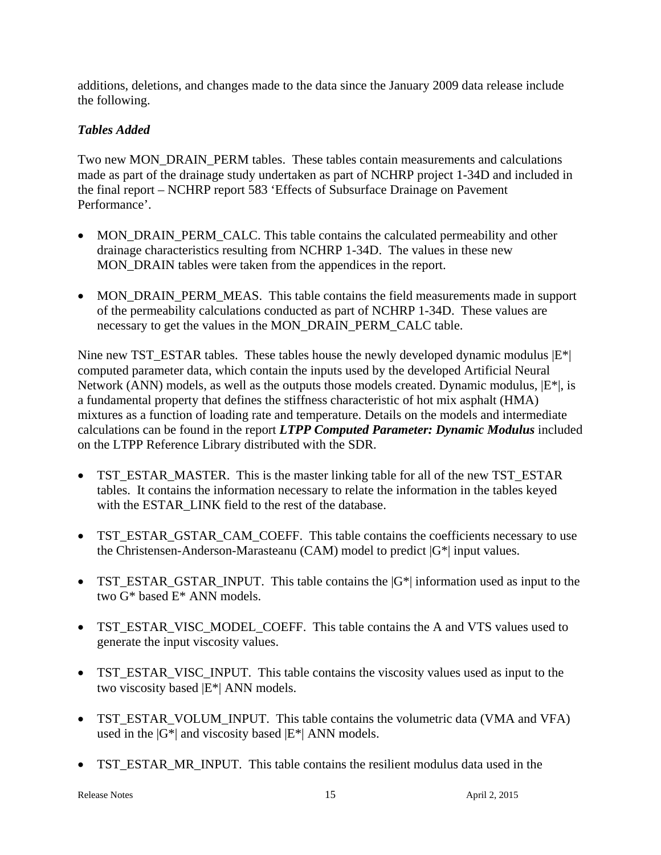additions, deletions, and changes made to the data since the January 2009 data release include the following.

# *Tables Added*

Two new MON\_DRAIN\_PERM tables. These tables contain measurements and calculations made as part of the drainage study undertaken as part of NCHRP project 1-34D and included in the final report – NCHRP report 583 'Effects of Subsurface Drainage on Pavement Performance'.

- MON\_DRAIN\_PERM\_CALC. This table contains the calculated permeability and other drainage characteristics resulting from NCHRP 1-34D. The values in these new MON\_DRAIN tables were taken from the appendices in the report.
- MON\_DRAIN\_PERM\_MEAS. This table contains the field measurements made in support of the permeability calculations conducted as part of NCHRP 1-34D. These values are necessary to get the values in the MON\_DRAIN\_PERM\_CALC table.

Nine new TST\_ESTAR tables. These tables house the newly developed dynamic modulus  $|E^*|$ computed parameter data, which contain the inputs used by the developed Artificial Neural Network (ANN) models, as well as the outputs those models created. Dynamic modulus,  $|E^*|$ , is a fundamental property that defines the stiffness characteristic of hot mix asphalt (HMA) mixtures as a function of loading rate and temperature. Details on the models and intermediate calculations can be found in the report *LTPP Computed Parameter: Dynamic Modulus* included on the LTPP Reference Library distributed with the SDR.

- TST\_ESTAR\_MASTER. This is the master linking table for all of the new TST\_ESTAR tables. It contains the information necessary to relate the information in the tables keyed with the ESTAR\_LINK field to the rest of the database.
- TST\_ESTAR\_GSTAR\_CAM\_COEFF. This table contains the coefficients necessary to use the Christensen-Anderson-Marasteanu (CAM) model to predict |G\*| input values.
- TST\_ESTAR\_GSTAR\_INPUT. This table contains the  $|G^*|$  information used as input to the two G\* based E\* ANN models.
- TST\_ESTAR\_VISC\_MODEL\_COEFF. This table contains the A and VTS values used to generate the input viscosity values.
- TST\_ESTAR\_VISC\_INPUT. This table contains the viscosity values used as input to the two viscosity based |E\*| ANN models.
- TST\_ESTAR\_VOLUM\_INPUT. This table contains the volumetric data (VMA and VFA) used in the  $|G^*|$  and viscosity based  $|E^*|$  ANN models.
- TST\_ESTAR\_MR\_INPUT. This table contains the resilient modulus data used in the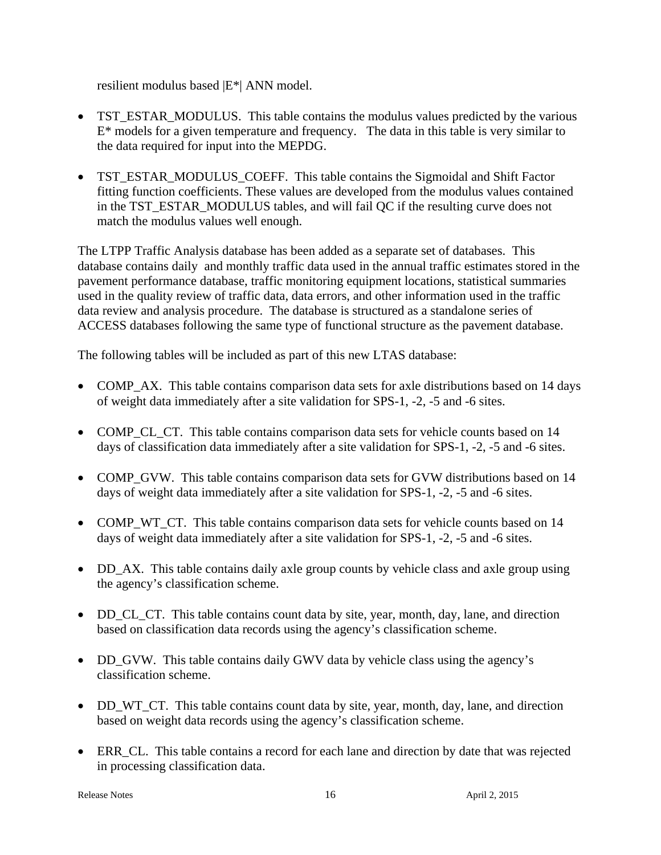resilient modulus based |E\*| ANN model.

- TST\_ESTAR\_MODULUS. This table contains the modulus values predicted by the various  $E^*$  models for a given temperature and frequency. The data in this table is very similar to the data required for input into the MEPDG.
- TST\_ESTAR\_MODULUS\_COEFF. This table contains the Sigmoidal and Shift Factor fitting function coefficients. These values are developed from the modulus values contained in the TST\_ESTAR\_MODULUS tables, and will fail QC if the resulting curve does not match the modulus values well enough.

The LTPP Traffic Analysis database has been added as a separate set of databases. This database contains daily and monthly traffic data used in the annual traffic estimates stored in the pavement performance database, traffic monitoring equipment locations, statistical summaries used in the quality review of traffic data, data errors, and other information used in the traffic data review and analysis procedure. The database is structured as a standalone series of ACCESS databases following the same type of functional structure as the pavement database.

The following tables will be included as part of this new LTAS database:

- COMP\_AX. This table contains comparison data sets for axle distributions based on 14 days of weight data immediately after a site validation for SPS-1, -2, -5 and -6 sites.
- COMP\_CL\_CT. This table contains comparison data sets for vehicle counts based on 14 days of classification data immediately after a site validation for SPS-1, -2, -5 and -6 sites.
- COMP GVW. This table contains comparison data sets for GVW distributions based on 14 days of weight data immediately after a site validation for SPS-1, -2, -5 and -6 sites.
- COMP WT CT. This table contains comparison data sets for vehicle counts based on 14 days of weight data immediately after a site validation for SPS-1, -2, -5 and -6 sites.
- DD\_AX. This table contains daily axle group counts by vehicle class and axle group using the agency's classification scheme.
- DD CL CT. This table contains count data by site, year, month, day, lane, and direction based on classification data records using the agency's classification scheme.
- DD GVW. This table contains daily GWV data by vehicle class using the agency's classification scheme.
- DD\_WT\_CT. This table contains count data by site, year, month, day, lane, and direction based on weight data records using the agency's classification scheme.
- ERR\_CL. This table contains a record for each lane and direction by date that was rejected in processing classification data.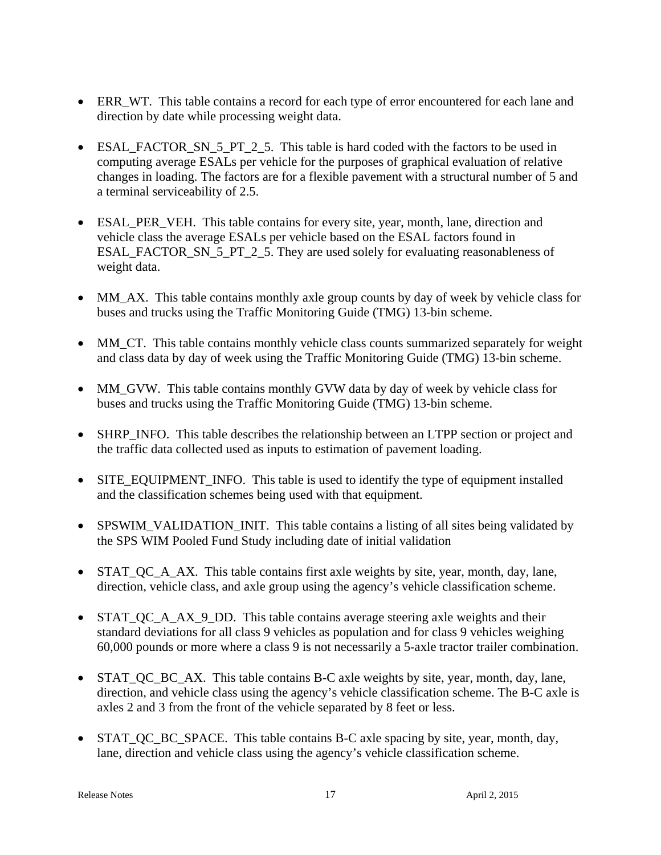- ERR\_WT. This table contains a record for each type of error encountered for each lane and direction by date while processing weight data.
- ESAL\_FACTOR\_SN\_5\_PT\_2\_5. This table is hard coded with the factors to be used in computing average ESALs per vehicle for the purposes of graphical evaluation of relative changes in loading. The factors are for a flexible pavement with a structural number of 5 and a terminal serviceability of 2.5.
- ESAL\_PER\_VEH. This table contains for every site, year, month, lane, direction and vehicle class the average ESALs per vehicle based on the ESAL factors found in ESAL\_FACTOR\_SN\_5\_PT\_2\_5. They are used solely for evaluating reasonableness of weight data.
- MM AX. This table contains monthly axle group counts by day of week by vehicle class for buses and trucks using the Traffic Monitoring Guide (TMG) 13-bin scheme.
- MM\_CT. This table contains monthly vehicle class counts summarized separately for weight and class data by day of week using the Traffic Monitoring Guide (TMG) 13-bin scheme.
- MM\_GVW. This table contains monthly GVW data by day of week by vehicle class for buses and trucks using the Traffic Monitoring Guide (TMG) 13-bin scheme.
- SHRP INFO. This table describes the relationship between an LTPP section or project and the traffic data collected used as inputs to estimation of pavement loading.
- SITE\_EQUIPMENT\_INFO. This table is used to identify the type of equipment installed and the classification schemes being used with that equipment.
- SPSWIM\_VALIDATION\_INIT. This table contains a listing of all sites being validated by the SPS WIM Pooled Fund Study including date of initial validation
- STAT QC A AX. This table contains first axle weights by site, year, month, day, lane, direction, vehicle class, and axle group using the agency's vehicle classification scheme.
- STAT\_QC\_A\_AX\_9\_DD. This table contains average steering axle weights and their standard deviations for all class 9 vehicles as population and for class 9 vehicles weighing 60,000 pounds or more where a class 9 is not necessarily a 5-axle tractor trailer combination.
- STAT QC BC AX. This table contains B-C axle weights by site, year, month, day, lane, direction, and vehicle class using the agency's vehicle classification scheme. The B-C axle is axles 2 and 3 from the front of the vehicle separated by 8 feet or less.
- STAT QC BC SPACE. This table contains B-C axle spacing by site, year, month, day, lane, direction and vehicle class using the agency's vehicle classification scheme.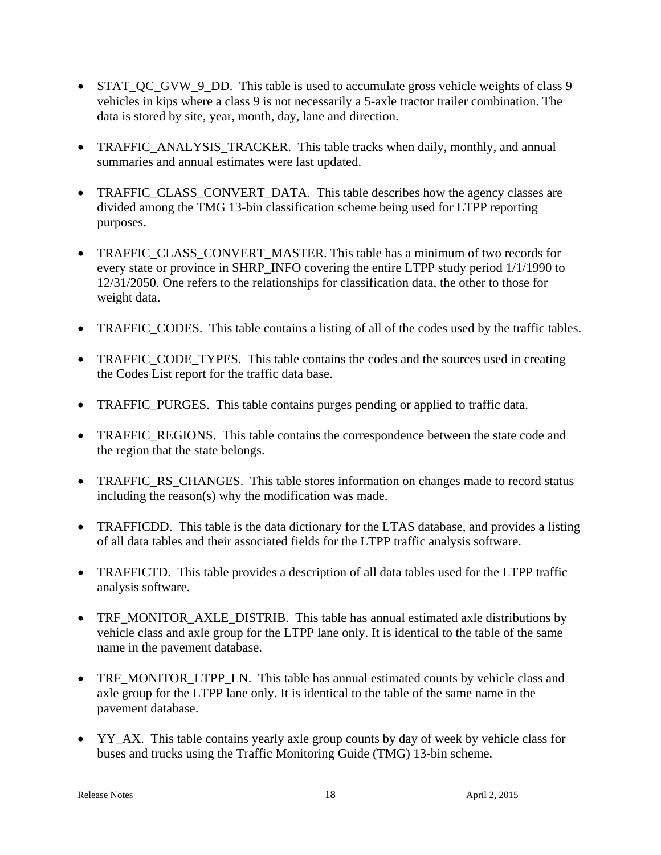- STAT\_QC\_GVW\_9\_DD. This table is used to accumulate gross vehicle weights of class 9 vehicles in kips where a class 9 is not necessarily a 5-axle tractor trailer combination. The data is stored by site, year, month, day, lane and direction.
- TRAFFIC\_ANALYSIS\_TRACKER. This table tracks when daily, monthly, and annual summaries and annual estimates were last updated.
- TRAFFIC CLASS CONVERT DATA. This table describes how the agency classes are divided among the TMG 13-bin classification scheme being used for LTPP reporting purposes.
- TRAFFIC CLASS CONVERT MASTER. This table has a minimum of two records for every state or province in SHRP\_INFO covering the entire LTPP study period 1/1/1990 to 12/31/2050. One refers to the relationships for classification data, the other to those for weight data.
- TRAFFIC\_CODES. This table contains a listing of all of the codes used by the traffic tables.
- TRAFFIC\_CODE\_TYPES. This table contains the codes and the sources used in creating the Codes List report for the traffic data base.
- TRAFFIC PURGES. This table contains purges pending or applied to traffic data.
- TRAFFIC\_REGIONS. This table contains the correspondence between the state code and the region that the state belongs.
- TRAFFIC\_RS\_CHANGES. This table stores information on changes made to record status including the reason(s) why the modification was made.
- TRAFFICDD. This table is the data dictionary for the LTAS database, and provides a listing of all data tables and their associated fields for the LTPP traffic analysis software.
- TRAFFICTD. This table provides a description of all data tables used for the LTPP traffic analysis software.
- TRF\_MONITOR\_AXLE\_DISTRIB. This table has annual estimated axle distributions by vehicle class and axle group for the LTPP lane only. It is identical to the table of the same name in the pavement database.
- TRF\_MONITOR\_LTPP\_LN. This table has annual estimated counts by vehicle class and axle group for the LTPP lane only. It is identical to the table of the same name in the pavement database.
- YY\_AX. This table contains yearly axle group counts by day of week by vehicle class for buses and trucks using the Traffic Monitoring Guide (TMG) 13-bin scheme.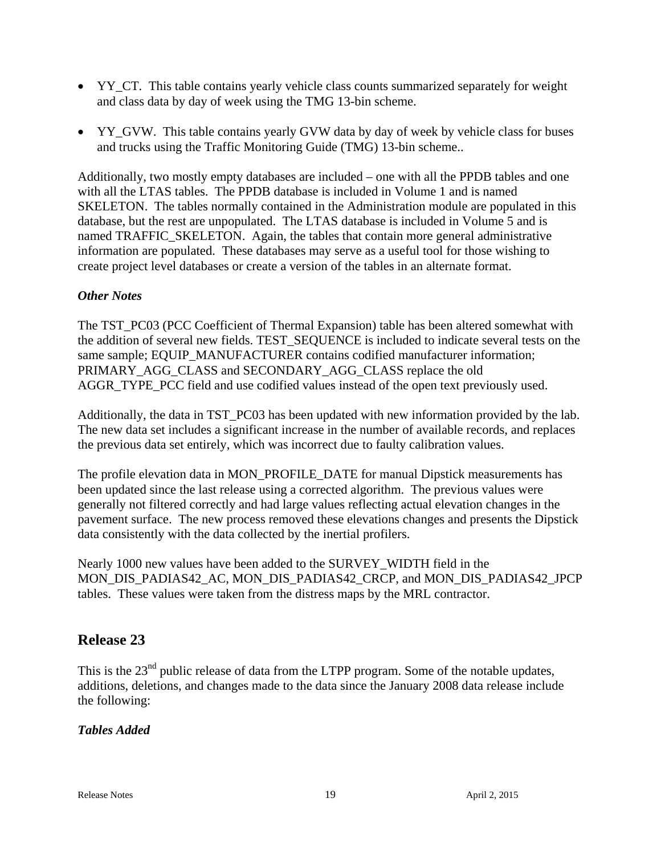- YY CT. This table contains yearly vehicle class counts summarized separately for weight and class data by day of week using the TMG 13-bin scheme.
- YY\_GVW. This table contains yearly GVW data by day of week by vehicle class for buses and trucks using the Traffic Monitoring Guide (TMG) 13-bin scheme..

Additionally, two mostly empty databases are included – one with all the PPDB tables and one with all the LTAS tables. The PPDB database is included in Volume 1 and is named SKELETON. The tables normally contained in the Administration module are populated in this database, but the rest are unpopulated. The LTAS database is included in Volume 5 and is named TRAFFIC\_SKELETON. Again, the tables that contain more general administrative information are populated. These databases may serve as a useful tool for those wishing to create project level databases or create a version of the tables in an alternate format.

# *Other Notes*

The TST\_PC03 (PCC Coefficient of Thermal Expansion) table has been altered somewhat with the addition of several new fields. TEST\_SEQUENCE is included to indicate several tests on the same sample; EQUIP\_MANUFACTURER contains codified manufacturer information; PRIMARY\_AGG\_CLASS and SECONDARY\_AGG\_CLASS replace the old AGGR\_TYPE\_PCC field and use codified values instead of the open text previously used.

Additionally, the data in TST\_PC03 has been updated with new information provided by the lab. The new data set includes a significant increase in the number of available records, and replaces the previous data set entirely, which was incorrect due to faulty calibration values.

The profile elevation data in MON\_PROFILE\_DATE for manual Dipstick measurements has been updated since the last release using a corrected algorithm. The previous values were generally not filtered correctly and had large values reflecting actual elevation changes in the pavement surface. The new process removed these elevations changes and presents the Dipstick data consistently with the data collected by the inertial profilers.

Nearly 1000 new values have been added to the SURVEY\_WIDTH field in the MON\_DIS\_PADIAS42\_AC, MON\_DIS\_PADIAS42\_CRCP, and MON\_DIS\_PADIAS42\_JPCP tables. These values were taken from the distress maps by the MRL contractor.

# **Release 23**

This is the 23<sup>nd</sup> public release of data from the LTPP program. Some of the notable updates, additions, deletions, and changes made to the data since the January 2008 data release include the following:

# *Tables Added*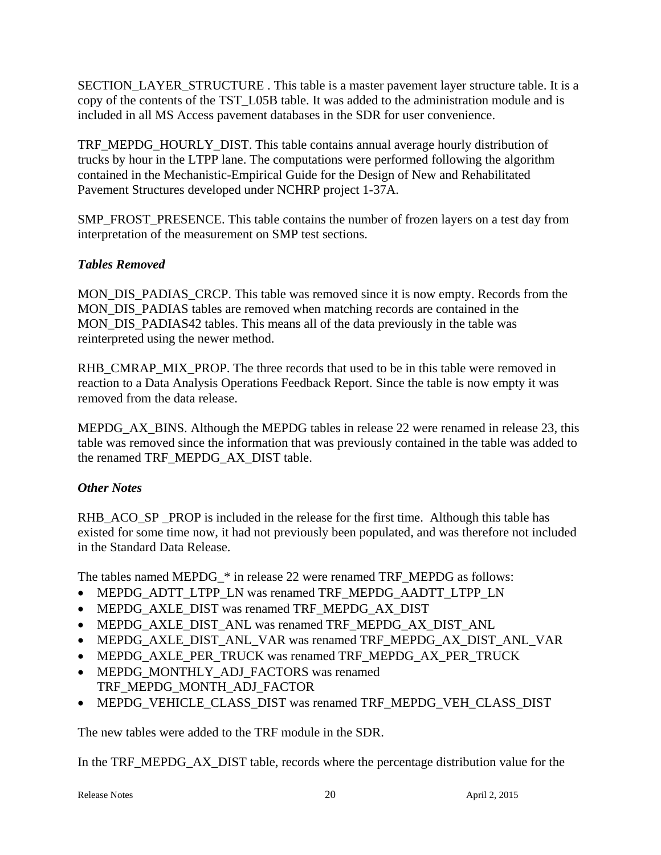SECTION\_LAYER\_STRUCTURE . This table is a master pavement layer structure table. It is a copy of the contents of the TST\_L05B table. It was added to the administration module and is included in all MS Access pavement databases in the SDR for user convenience.

TRF\_MEPDG\_HOURLY\_DIST. This table contains annual average hourly distribution of trucks by hour in the LTPP lane. The computations were performed following the algorithm contained in the Mechanistic-Empirical Guide for the Design of New and Rehabilitated Pavement Structures developed under NCHRP project 1-37A.

SMP\_FROST\_PRESENCE. This table contains the number of frozen layers on a test day from interpretation of the measurement on SMP test sections.

# *Tables Removed*

MON DIS PADIAS CRCP. This table was removed since it is now empty. Records from the MON\_DIS\_PADIAS tables are removed when matching records are contained in the MON DIS PADIAS42 tables. This means all of the data previously in the table was reinterpreted using the newer method.

RHB\_CMRAP\_MIX\_PROP. The three records that used to be in this table were removed in reaction to a Data Analysis Operations Feedback Report. Since the table is now empty it was removed from the data release.

MEPDG AX BINS. Although the MEPDG tables in release 22 were renamed in release 23, this table was removed since the information that was previously contained in the table was added to the renamed TRF\_MEPDG\_AX\_DIST table.

# *Other Notes*

RHB ACO SP PROP is included in the release for the first time. Although this table has existed for some time now, it had not previously been populated, and was therefore not included in the Standard Data Release.

The tables named MEPDG  $*$  in release 22 were renamed TRF\_MEPDG as follows:

- MEPDG\_ADTT\_LTPP\_LN was renamed TRF\_MEPDG\_AADTT\_LTPP\_LN
- MEPDG\_AXLE\_DIST was renamed TRF\_MEPDG\_AX\_DIST
- MEPDG\_AXLE\_DIST\_ANL was renamed TRF\_MEPDG\_AX\_DIST\_ANL
- MEPDG\_AXLE\_DIST\_ANL\_VAR was renamed TRF\_MEPDG\_AX\_DIST\_ANL\_VAR
- MEPDG\_AXLE\_PER\_TRUCK was renamed TRF\_MEPDG\_AX\_PER\_TRUCK
- MEPDG\_MONTHLY\_ADJ\_FACTORS was renamed TRF\_MEPDG\_MONTH\_ADJ\_FACTOR
- MEPDG\_VEHICLE\_CLASS\_DIST was renamed TRF\_MEPDG\_VEH\_CLASS\_DIST

The new tables were added to the TRF module in the SDR.

In the TRF\_MEPDG\_AX\_DIST table, records where the percentage distribution value for the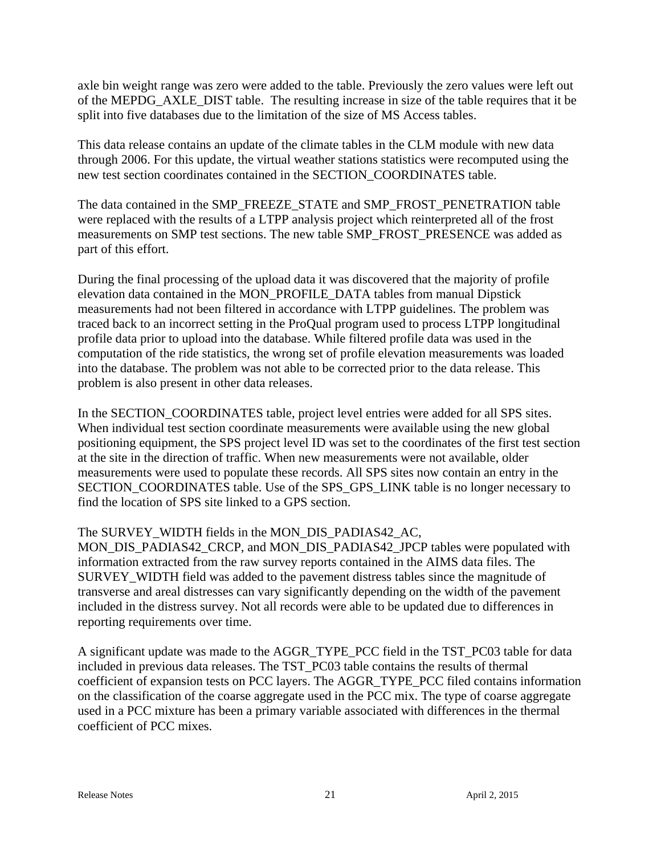axle bin weight range was zero were added to the table. Previously the zero values were left out of the MEPDG\_AXLE\_DIST table. The resulting increase in size of the table requires that it be split into five databases due to the limitation of the size of MS Access tables.

This data release contains an update of the climate tables in the CLM module with new data through 2006. For this update, the virtual weather stations statistics were recomputed using the new test section coordinates contained in the SECTION\_COORDINATES table.

The data contained in the SMP\_FREEZE\_STATE and SMP\_FROST\_PENETRATION table were replaced with the results of a LTPP analysis project which reinterpreted all of the frost measurements on SMP test sections. The new table SMP\_FROST\_PRESENCE was added as part of this effort.

During the final processing of the upload data it was discovered that the majority of profile elevation data contained in the MON\_PROFILE\_DATA tables from manual Dipstick measurements had not been filtered in accordance with LTPP guidelines. The problem was traced back to an incorrect setting in the ProQual program used to process LTPP longitudinal profile data prior to upload into the database. While filtered profile data was used in the computation of the ride statistics, the wrong set of profile elevation measurements was loaded into the database. The problem was not able to be corrected prior to the data release. This problem is also present in other data releases.

In the SECTION\_COORDINATES table, project level entries were added for all SPS sites. When individual test section coordinate measurements were available using the new global positioning equipment, the SPS project level ID was set to the coordinates of the first test section at the site in the direction of traffic. When new measurements were not available, older measurements were used to populate these records. All SPS sites now contain an entry in the SECTION\_COORDINATES table. Use of the SPS\_GPS\_LINK table is no longer necessary to find the location of SPS site linked to a GPS section.

# The SURVEY\_WIDTH fields in the MON\_DIS\_PADIAS42\_AC,

MON\_DIS\_PADIAS42\_CRCP, and MON\_DIS\_PADIAS42\_JPCP tables were populated with information extracted from the raw survey reports contained in the AIMS data files. The SURVEY WIDTH field was added to the pavement distress tables since the magnitude of transverse and areal distresses can vary significantly depending on the width of the pavement included in the distress survey. Not all records were able to be updated due to differences in reporting requirements over time.

A significant update was made to the AGGR\_TYPE\_PCC field in the TST\_PC03 table for data included in previous data releases. The TST\_PC03 table contains the results of thermal coefficient of expansion tests on PCC layers. The AGGR\_TYPE\_PCC filed contains information on the classification of the coarse aggregate used in the PCC mix. The type of coarse aggregate used in a PCC mixture has been a primary variable associated with differences in the thermal coefficient of PCC mixes.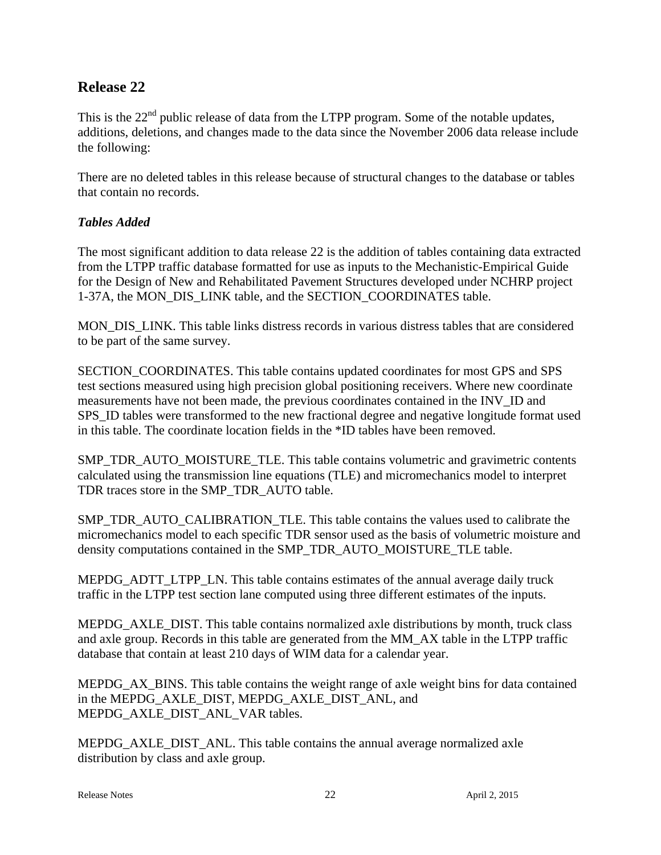# **Release 22**

This is the  $22<sup>nd</sup>$  public release of data from the LTPP program. Some of the notable updates, additions, deletions, and changes made to the data since the November 2006 data release include the following:

There are no deleted tables in this release because of structural changes to the database or tables that contain no records.

# *Tables Added*

The most significant addition to data release 22 is the addition of tables containing data extracted from the LTPP traffic database formatted for use as inputs to the Mechanistic-Empirical Guide for the Design of New and Rehabilitated Pavement Structures developed under NCHRP project 1-37A, the MON\_DIS\_LINK table, and the SECTION\_COORDINATES table.

MON DIS LINK. This table links distress records in various distress tables that are considered to be part of the same survey.

SECTION\_COORDINATES. This table contains updated coordinates for most GPS and SPS test sections measured using high precision global positioning receivers. Where new coordinate measurements have not been made, the previous coordinates contained in the INV\_ID and SPS\_ID tables were transformed to the new fractional degree and negative longitude format used in this table. The coordinate location fields in the \*ID tables have been removed.

SMP\_TDR\_AUTO\_MOISTURE\_TLE. This table contains volumetric and gravimetric contents calculated using the transmission line equations (TLE) and micromechanics model to interpret TDR traces store in the SMP\_TDR\_AUTO table.

SMP\_TDR\_AUTO\_CALIBRATION\_TLE. This table contains the values used to calibrate the micromechanics model to each specific TDR sensor used as the basis of volumetric moisture and density computations contained in the SMP\_TDR\_AUTO\_MOISTURE\_TLE table.

MEPDG\_ADTT\_LTPP\_LN. This table contains estimates of the annual average daily truck traffic in the LTPP test section lane computed using three different estimates of the inputs.

MEPDG\_AXLE\_DIST. This table contains normalized axle distributions by month, truck class and axle group. Records in this table are generated from the MM\_AX table in the LTPP traffic database that contain at least 210 days of WIM data for a calendar year.

MEPDG AX BINS. This table contains the weight range of axle weight bins for data contained in the MEPDG\_AXLE\_DIST, MEPDG\_AXLE\_DIST\_ANL, and MEPDG\_AXLE\_DIST\_ANL\_VAR tables.

MEPDG\_AXLE\_DIST\_ANL. This table contains the annual average normalized axle distribution by class and axle group.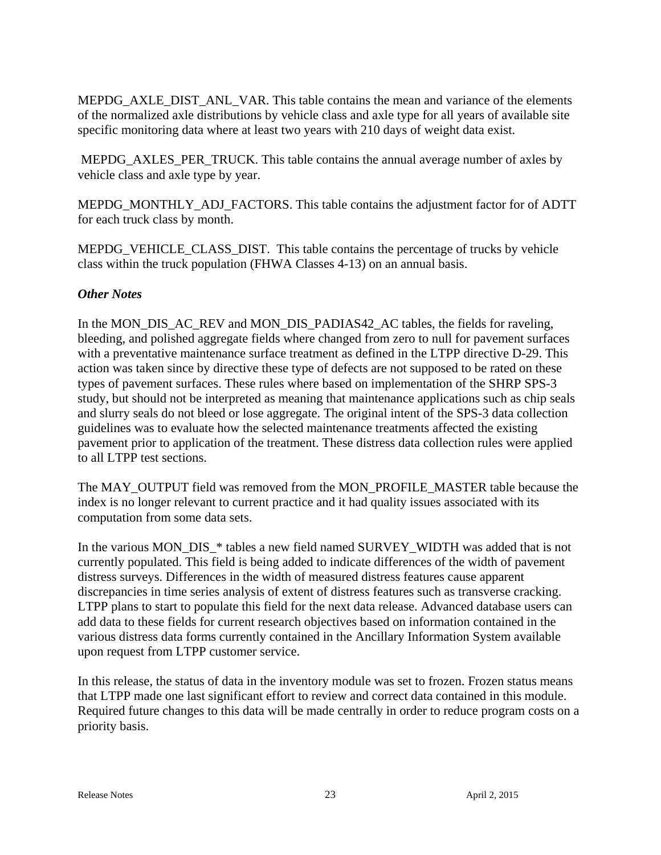MEPDG\_AXLE\_DIST\_ANL\_VAR. This table contains the mean and variance of the elements of the normalized axle distributions by vehicle class and axle type for all years of available site specific monitoring data where at least two years with 210 days of weight data exist.

 MEPDG\_AXLES\_PER\_TRUCK. This table contains the annual average number of axles by vehicle class and axle type by year.

MEPDG\_MONTHLY\_ADJ\_FACTORS. This table contains the adjustment factor for of ADTT for each truck class by month.

MEPDG\_VEHICLE\_CLASS\_DIST. This table contains the percentage of trucks by vehicle class within the truck population (FHWA Classes 4-13) on an annual basis.

# *Other Notes*

In the MON\_DIS\_AC\_REV and MON\_DIS\_PADIAS42\_AC tables, the fields for raveling, bleeding, and polished aggregate fields where changed from zero to null for pavement surfaces with a preventative maintenance surface treatment as defined in the LTPP directive D-29. This action was taken since by directive these type of defects are not supposed to be rated on these types of pavement surfaces. These rules where based on implementation of the SHRP SPS-3 study, but should not be interpreted as meaning that maintenance applications such as chip seals and slurry seals do not bleed or lose aggregate. The original intent of the SPS-3 data collection guidelines was to evaluate how the selected maintenance treatments affected the existing pavement prior to application of the treatment. These distress data collection rules were applied to all LTPP test sections.

The MAY\_OUTPUT field was removed from the MON\_PROFILE\_MASTER table because the index is no longer relevant to current practice and it had quality issues associated with its computation from some data sets.

In the various MON\_DIS\_\* tables a new field named SURVEY\_WIDTH was added that is not currently populated. This field is being added to indicate differences of the width of pavement distress surveys. Differences in the width of measured distress features cause apparent discrepancies in time series analysis of extent of distress features such as transverse cracking. LTPP plans to start to populate this field for the next data release. Advanced database users can add data to these fields for current research objectives based on information contained in the various distress data forms currently contained in the Ancillary Information System available upon request from LTPP customer service.

In this release, the status of data in the inventory module was set to frozen. Frozen status means that LTPP made one last significant effort to review and correct data contained in this module. Required future changes to this data will be made centrally in order to reduce program costs on a priority basis.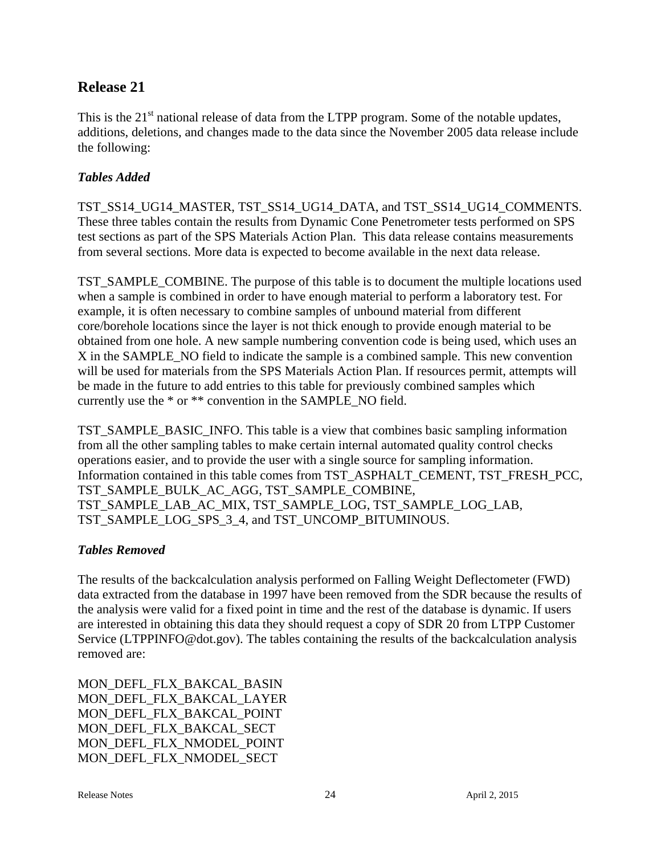# **Release 21**

This is the  $21<sup>st</sup>$  national release of data from the LTPP program. Some of the notable updates, additions, deletions, and changes made to the data since the November 2005 data release include the following:

# *Tables Added*

TST\_SS14\_UG14\_MASTER, TST\_SS14\_UG14\_DATA, and TST\_SS14\_UG14\_COMMENTS. These three tables contain the results from Dynamic Cone Penetrometer tests performed on SPS test sections as part of the SPS Materials Action Plan. This data release contains measurements from several sections. More data is expected to become available in the next data release.

TST\_SAMPLE\_COMBINE. The purpose of this table is to document the multiple locations used when a sample is combined in order to have enough material to perform a laboratory test. For example, it is often necessary to combine samples of unbound material from different core/borehole locations since the layer is not thick enough to provide enough material to be obtained from one hole. A new sample numbering convention code is being used, which uses an X in the SAMPLE\_NO field to indicate the sample is a combined sample. This new convention will be used for materials from the SPS Materials Action Plan. If resources permit, attempts will be made in the future to add entries to this table for previously combined samples which currently use the \* or \*\* convention in the SAMPLE\_NO field.

TST\_SAMPLE\_BASIC\_INFO. This table is a view that combines basic sampling information from all the other sampling tables to make certain internal automated quality control checks operations easier, and to provide the user with a single source for sampling information. Information contained in this table comes from TST\_ASPHALT\_CEMENT, TST\_FRESH\_PCC, TST\_SAMPLE\_BULK\_AC\_AGG, TST\_SAMPLE\_COMBINE, TST\_SAMPLE\_LAB\_AC\_MIX, TST\_SAMPLE\_LOG, TST\_SAMPLE\_LOG\_LAB, TST\_SAMPLE\_LOG\_SPS\_3\_4, and TST\_UNCOMP\_BITUMINOUS.

# *Tables Removed*

The results of the backcalculation analysis performed on Falling Weight Deflectometer (FWD) data extracted from the database in 1997 have been removed from the SDR because the results of the analysis were valid for a fixed point in time and the rest of the database is dynamic. If users are interested in obtaining this data they should request a copy of SDR 20 from LTPP Customer Service (LTPPINFO@dot.gov). The tables containing the results of the backcalculation analysis removed are:

MON\_DEFL\_FLX\_BAKCAL\_BASIN MON\_DEFL\_FLX\_BAKCAL\_LAYER MON\_DEFL\_FLX\_BAKCAL\_POINT MON\_DEFL\_FLX\_BAKCAL\_SECT MON\_DEFL\_FLX\_NMODEL\_POINT MON\_DEFL\_FLX\_NMODEL\_SECT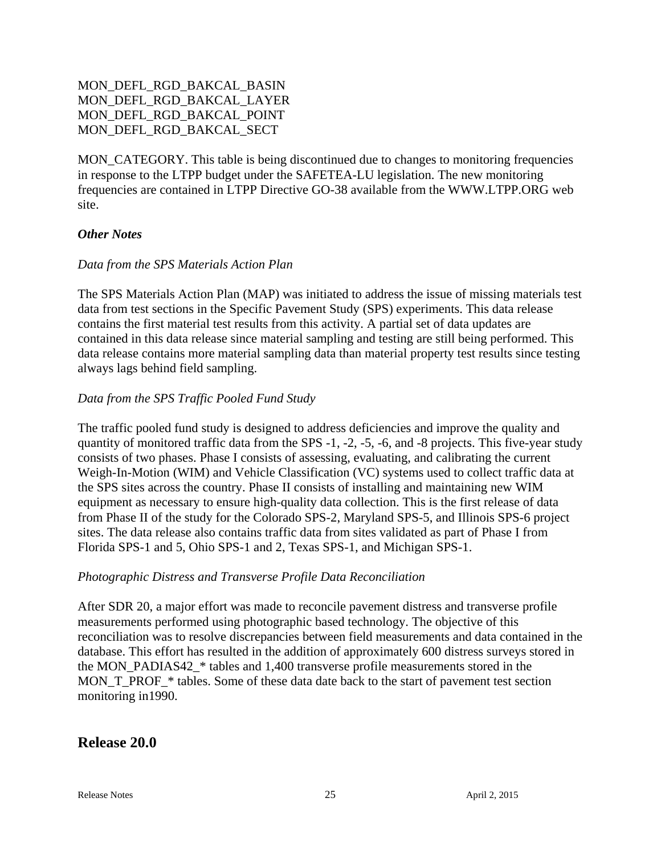# MON\_DEFL\_RGD\_BAKCAL\_BASIN MON\_DEFL\_RGD\_BAKCAL\_LAYER MON\_DEFL\_RGD\_BAKCAL\_POINT MON\_DEFL\_RGD\_BAKCAL\_SECT

MON\_CATEGORY. This table is being discontinued due to changes to monitoring frequencies in response to the LTPP budget under the SAFETEA-LU legislation. The new monitoring frequencies are contained in LTPP Directive GO-38 available from the WWW.LTPP.ORG web site.

#### *Other Notes*

#### *Data from the SPS Materials Action Plan*

The SPS Materials Action Plan (MAP) was initiated to address the issue of missing materials test data from test sections in the Specific Pavement Study (SPS) experiments. This data release contains the first material test results from this activity. A partial set of data updates are contained in this data release since material sampling and testing are still being performed. This data release contains more material sampling data than material property test results since testing always lags behind field sampling.

#### *Data from the SPS Traffic Pooled Fund Study*

The traffic pooled fund study is designed to address deficiencies and improve the quality and quantity of monitored traffic data from the SPS -1, -2, -5, -6, and -8 projects. This five-year study consists of two phases. Phase I consists of assessing, evaluating, and calibrating the current Weigh-In-Motion (WIM) and Vehicle Classification (VC) systems used to collect traffic data at the SPS sites across the country. Phase II consists of installing and maintaining new WIM equipment as necessary to ensure high-quality data collection. This is the first release of data from Phase II of the study for the Colorado SPS-2, Maryland SPS-5, and Illinois SPS-6 project sites. The data release also contains traffic data from sites validated as part of Phase I from Florida SPS-1 and 5, Ohio SPS-1 and 2, Texas SPS-1, and Michigan SPS-1.

#### *Photographic Distress and Transverse Profile Data Reconciliation*

After SDR 20, a major effort was made to reconcile pavement distress and transverse profile measurements performed using photographic based technology. The objective of this reconciliation was to resolve discrepancies between field measurements and data contained in the database. This effort has resulted in the addition of approximately 600 distress surveys stored in the MON\_PADIAS42\_\* tables and 1,400 transverse profile measurements stored in the MON\_T\_PROF\_\* tables. Some of these data date back to the start of pavement test section monitoring in1990.

#### **Release 20.0**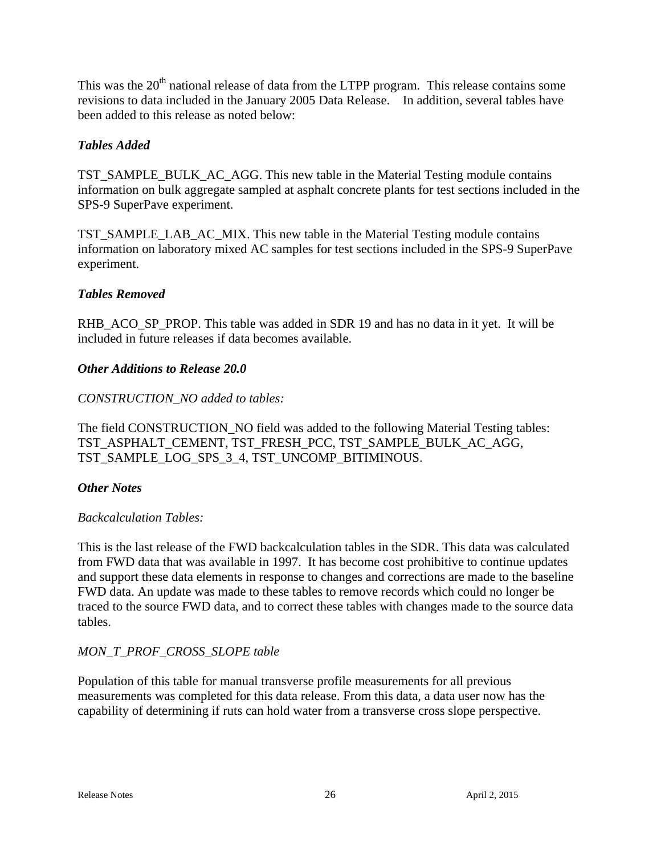This was the 20<sup>th</sup> national release of data from the LTPP program. This release contains some revisions to data included in the January 2005 Data Release. In addition, several tables have been added to this release as noted below:

# *Tables Added*

TST\_SAMPLE\_BULK\_AC\_AGG. This new table in the Material Testing module contains information on bulk aggregate sampled at asphalt concrete plants for test sections included in the SPS-9 SuperPave experiment.

TST\_SAMPLE\_LAB\_AC\_MIX. This new table in the Material Testing module contains information on laboratory mixed AC samples for test sections included in the SPS-9 SuperPave experiment.

# *Tables Removed*

RHB\_ACO\_SP\_PROP. This table was added in SDR 19 and has no data in it yet. It will be included in future releases if data becomes available.

# *Other Additions to Release 20.0*

# *CONSTRUCTION\_NO added to tables:*

The field CONSTRUCTION\_NO field was added to the following Material Testing tables: TST\_ASPHALT\_CEMENT, TST\_FRESH\_PCC, TST\_SAMPLE\_BULK\_AC\_AGG, TST\_SAMPLE\_LOG\_SPS\_3\_4, TST\_UNCOMP\_BITIMINOUS.

# *Other Notes*

# *Backcalculation Tables:*

This is the last release of the FWD backcalculation tables in the SDR. This data was calculated from FWD data that was available in 1997. It has become cost prohibitive to continue updates and support these data elements in response to changes and corrections are made to the baseline FWD data. An update was made to these tables to remove records which could no longer be traced to the source FWD data, and to correct these tables with changes made to the source data tables.

# *MON\_T\_PROF\_CROSS\_SLOPE table*

Population of this table for manual transverse profile measurements for all previous measurements was completed for this data release. From this data, a data user now has the capability of determining if ruts can hold water from a transverse cross slope perspective.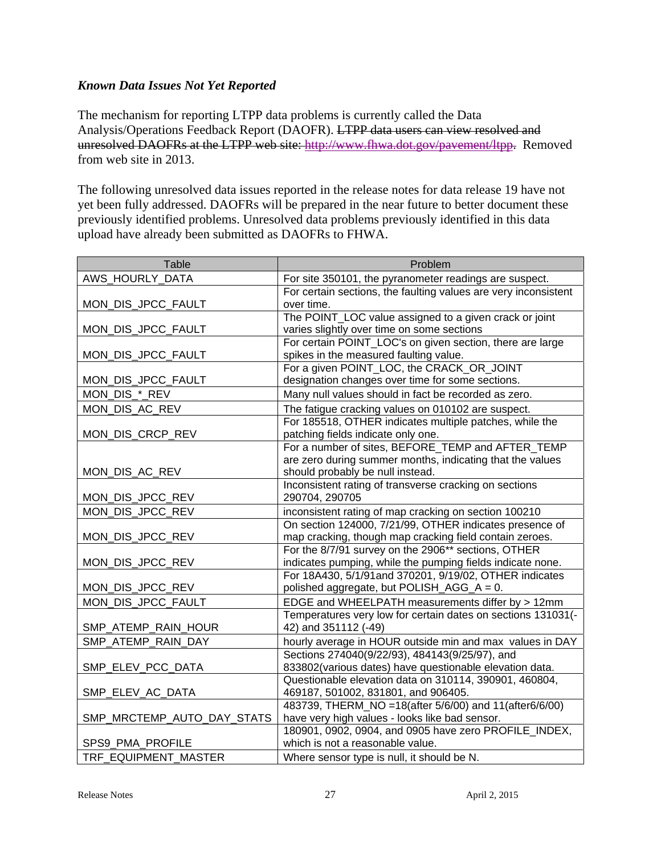# *Known Data Issues Not Yet Reported*

The mechanism for reporting LTPP data problems is currently called the Data Analysis/Operations Feedback Report (DAOFR). LTPP data users can view resolved and unresolved DAOFRs at the LTPP web site: http://www.fhwa.dot.gov/pavement/ltpp. Removed from web site in 2013.

The following unresolved data issues reported in the release notes for data release 19 have not yet been fully addressed. DAOFRs will be prepared in the near future to better document these previously identified problems. Unresolved data problems previously identified in this data upload have already been submitted as DAOFRs to FHWA.

| Table                      | Problem                                                         |
|----------------------------|-----------------------------------------------------------------|
| AWS_HOURLY_DATA            | For site 350101, the pyranometer readings are suspect.          |
|                            | For certain sections, the faulting values are very inconsistent |
| MON_DIS_JPCC_FAULT         | over time.                                                      |
|                            | The POINT_LOC value assigned to a given crack or joint          |
| MON_DIS_JPCC_FAULT         | varies slightly over time on some sections                      |
|                            | For certain POINT_LOC's on given section, there are large       |
| MON_DIS_JPCC_FAULT         | spikes in the measured faulting value.                          |
|                            | For a given POINT_LOC, the CRACK_OR_JOINT                       |
| MON_DIS_JPCC_FAULT         | designation changes over time for some sections.                |
| MON DIS * REV              | Many null values should in fact be recorded as zero.            |
| MON_DIS_AC_REV             | The fatigue cracking values on 010102 are suspect.              |
|                            | For 185518, OTHER indicates multiple patches, while the         |
| MON_DIS_CRCP_REV           | patching fields indicate only one.                              |
|                            | For a number of sites, BEFORE_TEMP and AFTER_TEMP               |
|                            | are zero during summer months, indicating that the values       |
| MON_DIS_AC_REV             | should probably be null instead.                                |
|                            | Inconsistent rating of transverse cracking on sections          |
| MON_DIS_JPCC_REV           | 290704, 290705                                                  |
| MON_DIS_JPCC_REV           | inconsistent rating of map cracking on section 100210           |
|                            | On section 124000, 7/21/99, OTHER indicates presence of         |
| MON_DIS_JPCC_REV           | map cracking, though map cracking field contain zeroes.         |
|                            | For the 8/7/91 survey on the 2906** sections, OTHER             |
| MON_DIS_JPCC_REV           | indicates pumping, while the pumping fields indicate none.      |
|                            | For 18A430, 5/1/91and 370201, 9/19/02, OTHER indicates          |
| MON_DIS_JPCC_REV           | polished aggregate, but POLISH_AGG_A = 0.                       |
| MON_DIS_JPCC_FAULT         | EDGE and WHEELPATH measurements differ by > 12mm                |
|                            | Temperatures very low for certain dates on sections 131031(-    |
| SMP_ATEMP_RAIN_HOUR        | 42) and 351112 (-49)                                            |
| SMP_ATEMP_RAIN_DAY         | hourly average in HOUR outside min and max values in DAY        |
|                            | Sections 274040(9/22/93), 484143(9/25/97), and                  |
| SMP_ELEV_PCC_DATA          | 833802(various dates) have questionable elevation data.         |
|                            | Questionable elevation data on 310114, 390901, 460804,          |
| SMP_ELEV_AC_DATA           | 469187, 501002, 831801, and 906405.                             |
|                            | 483739, THERM NO = 18(after 5/6/00) and 11(after6/6/00)         |
| SMP_MRCTEMP_AUTO_DAY_STATS | have very high values - looks like bad sensor.                  |
|                            | 180901, 0902, 0904, and 0905 have zero PROFILE_INDEX,           |
| SPS9_PMA_PROFILE           | which is not a reasonable value.                                |
| TRF EQUIPMENT MASTER       | Where sensor type is null, it should be N.                      |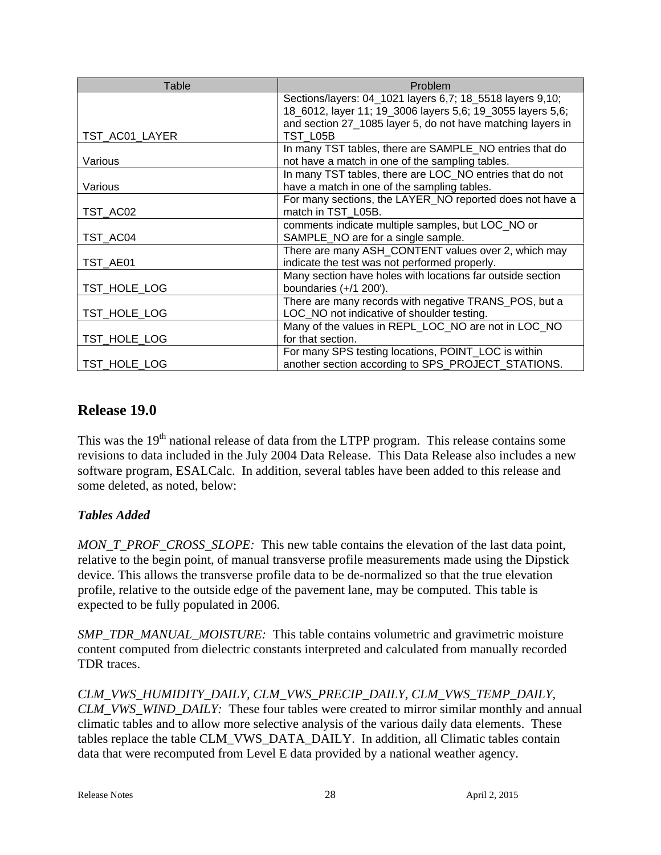| Table          | Problem                                                                                                                                                                                |
|----------------|----------------------------------------------------------------------------------------------------------------------------------------------------------------------------------------|
|                | Sections/layers: 04_1021 layers 6,7; 18_5518 layers 9,10;<br>18_6012, layer 11; 19_3006 layers 5,6; 19_3055 layers 5,6;<br>and section 27_1085 layer 5, do not have matching layers in |
| TST_AC01_LAYER | TST L05B                                                                                                                                                                               |
| Various        | In many TST tables, there are SAMPLE_NO entries that do<br>not have a match in one of the sampling tables.                                                                             |
| Various        | In many TST tables, there are LOC_NO entries that do not<br>have a match in one of the sampling tables.                                                                                |
| TST_AC02       | For many sections, the LAYER_NO reported does not have a<br>match in TST_L05B.                                                                                                         |
| TST AC04       | comments indicate multiple samples, but LOC_NO or<br>SAMPLE_NO are for a single sample.                                                                                                |
| TST AE01       | There are many ASH_CONTENT values over 2, which may<br>indicate the test was not performed properly.                                                                                   |
| TST HOLE LOG   | Many section have holes with locations far outside section<br>boundaries $(+/1 200')$ .                                                                                                |
| TST_HOLE_LOG   | There are many records with negative TRANS_POS, but a<br>LOC_NO not indicative of shoulder testing.                                                                                    |
| TST_HOLE_LOG   | Many of the values in REPL_LOC_NO are not in LOC_NO<br>for that section.                                                                                                               |
| TST HOLE LOG   | For many SPS testing locations, POINT_LOC is within<br>another section according to SPS_PROJECT_STATIONS.                                                                              |

# **Release 19.0**

This was the 19<sup>th</sup> national release of data from the LTPP program. This release contains some revisions to data included in the July 2004 Data Release. This Data Release also includes a new software program, ESALCalc. In addition, several tables have been added to this release and some deleted, as noted, below:

# *Tables Added*

*MON\_T\_PROF\_CROSS\_SLOPE:* This new table contains the elevation of the last data point, relative to the begin point, of manual transverse profile measurements made using the Dipstick device. This allows the transverse profile data to be de-normalized so that the true elevation profile, relative to the outside edge of the pavement lane, may be computed. This table is expected to be fully populated in 2006.

*SMP\_TDR\_MANUAL\_MOISTURE:* This table contains volumetric and gravimetric moisture content computed from dielectric constants interpreted and calculated from manually recorded TDR traces.

*CLM\_VWS\_HUMIDITY\_DAILY, CLM\_VWS\_PRECIP\_DAILY, CLM\_VWS\_TEMP\_DAILY, CLM\_VWS\_WIND\_DAILY:* These four tables were created to mirror similar monthly and annual climatic tables and to allow more selective analysis of the various daily data elements. These tables replace the table CLM\_VWS\_DATA\_DAILY. In addition, all Climatic tables contain data that were recomputed from Level E data provided by a national weather agency.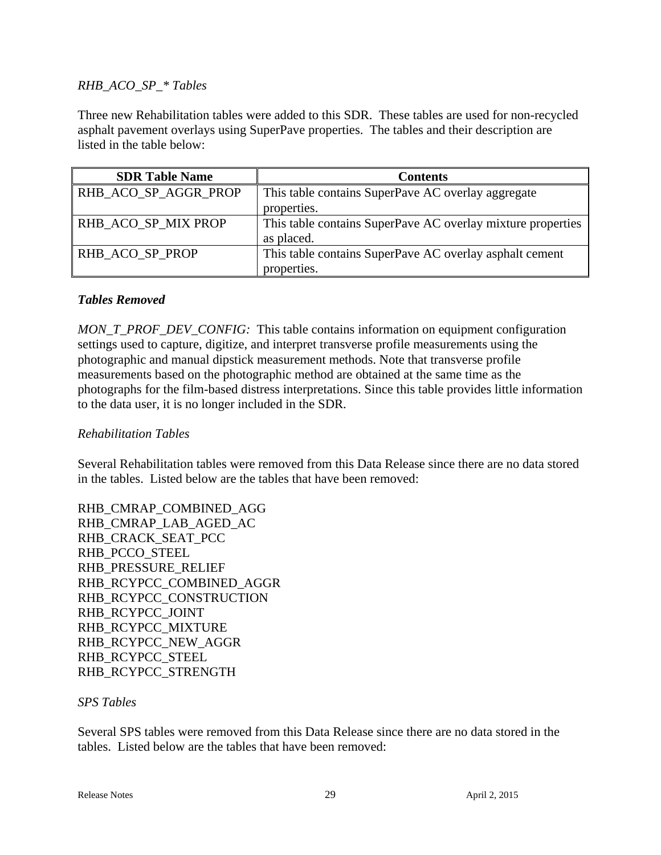#### *RHB\_ACO\_SP\_\* Tables*

Three new Rehabilitation tables were added to this SDR. These tables are used for non-recycled asphalt pavement overlays using SuperPave properties. The tables and their description are listed in the table below:

| <b>SDR Table Name</b> | <b>Contents</b>                                             |
|-----------------------|-------------------------------------------------------------|
| RHB_ACO_SP_AGGR_PROP  | This table contains SuperPave AC overlay aggregate          |
|                       | properties.                                                 |
| RHB ACO SP MIX PROP   | This table contains SuperPave AC overlay mixture properties |
|                       | as placed.                                                  |
| RHB ACO SP PROP       | This table contains SuperPave AC overlay asphalt cement     |
|                       | properties.                                                 |

#### *Tables Removed*

*MON\_T\_PROF\_DEV\_CONFIG:* This table contains information on equipment configuration settings used to capture, digitize, and interpret transverse profile measurements using the photographic and manual dipstick measurement methods. Note that transverse profile measurements based on the photographic method are obtained at the same time as the photographs for the film-based distress interpretations. Since this table provides little information to the data user, it is no longer included in the SDR.

#### *Rehabilitation Tables*

Several Rehabilitation tables were removed from this Data Release since there are no data stored in the tables. Listed below are the tables that have been removed:

RHB\_CMRAP\_COMBINED\_AGG RHB\_CMRAP\_LAB\_AGED\_AC RHB\_CRACK\_SEAT\_PCC RHB\_PCCO\_STEEL RHB\_PRESSURE\_RELIEF RHB\_RCYPCC\_COMBINED\_AGGR RHB\_RCYPCC\_CONSTRUCTION RHB\_RCYPCC\_JOINT RHB\_RCYPCC\_MIXTURE RHB\_RCYPCC\_NEW\_AGGR RHB\_RCYPCC\_STEEL RHB\_RCYPCC\_STRENGTH

#### *SPS Tables*

Several SPS tables were removed from this Data Release since there are no data stored in the tables. Listed below are the tables that have been removed: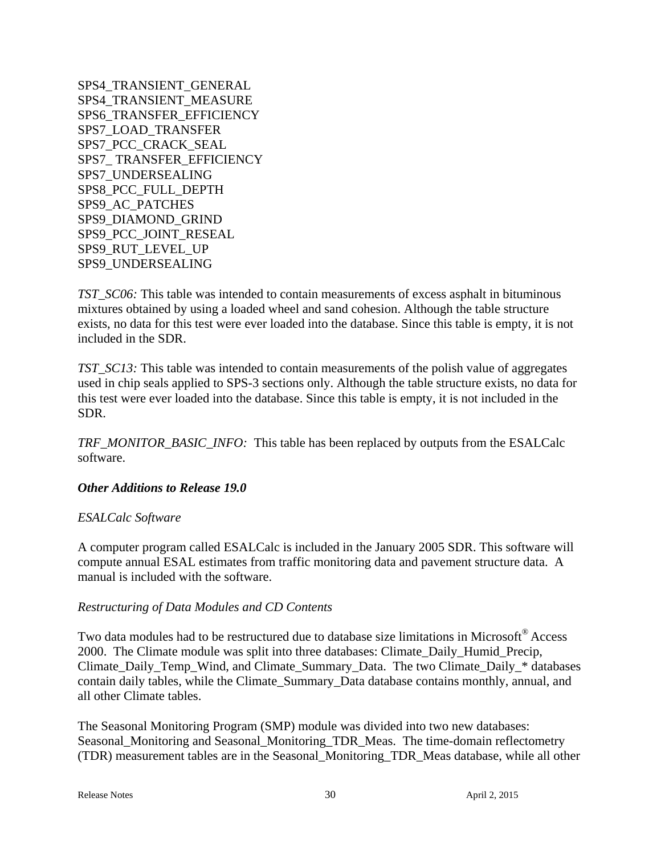SPS4\_TRANSIENT\_GENERAL SPS4\_TRANSIENT\_MEASURE SPS6\_TRANSFER\_EFFICIENCY SPS7\_LOAD\_TRANSFER SPS7\_PCC\_CRACK\_SEAL SPS7\_ TRANSFER\_EFFICIENCY SPS7\_UNDERSEALING SPS8\_PCC\_FULL\_DEPTH SPS9\_AC\_PATCHES SPS9\_DIAMOND\_GRIND SPS9\_PCC\_JOINT\_RESEAL SPS9\_RUT\_LEVEL\_UP SPS9\_UNDERSEALING

*TST\_SC06:* This table was intended to contain measurements of excess asphalt in bituminous mixtures obtained by using a loaded wheel and sand cohesion. Although the table structure exists, no data for this test were ever loaded into the database. Since this table is empty, it is not included in the SDR.

*TST\_SC13:* This table was intended to contain measurements of the polish value of aggregates used in chip seals applied to SPS-3 sections only. Although the table structure exists, no data for this test were ever loaded into the database. Since this table is empty, it is not included in the SDR.

*TRF\_MONITOR\_BASIC\_INFO:* This table has been replaced by outputs from the ESALCalc software.

#### *Other Additions to Release 19.0*

#### *ESALCalc Software*

A computer program called ESALCalc is included in the January 2005 SDR. This software will compute annual ESAL estimates from traffic monitoring data and pavement structure data. A manual is included with the software.

#### *Restructuring of Data Modules and CD Contents*

Two data modules had to be restructured due to database size limitations in Microsoft<sup>®</sup> Access 2000. The Climate module was split into three databases: Climate\_Daily\_Humid\_Precip, Climate Daily Temp\_Wind, and Climate Summary Data. The two Climate Daily \* databases contain daily tables, while the Climate\_Summary\_Data database contains monthly, annual, and all other Climate tables.

The Seasonal Monitoring Program (SMP) module was divided into two new databases: Seasonal\_Monitoring and Seasonal\_Monitoring\_TDR\_Meas. The time-domain reflectometry (TDR) measurement tables are in the Seasonal\_Monitoring\_TDR\_Meas database, while all other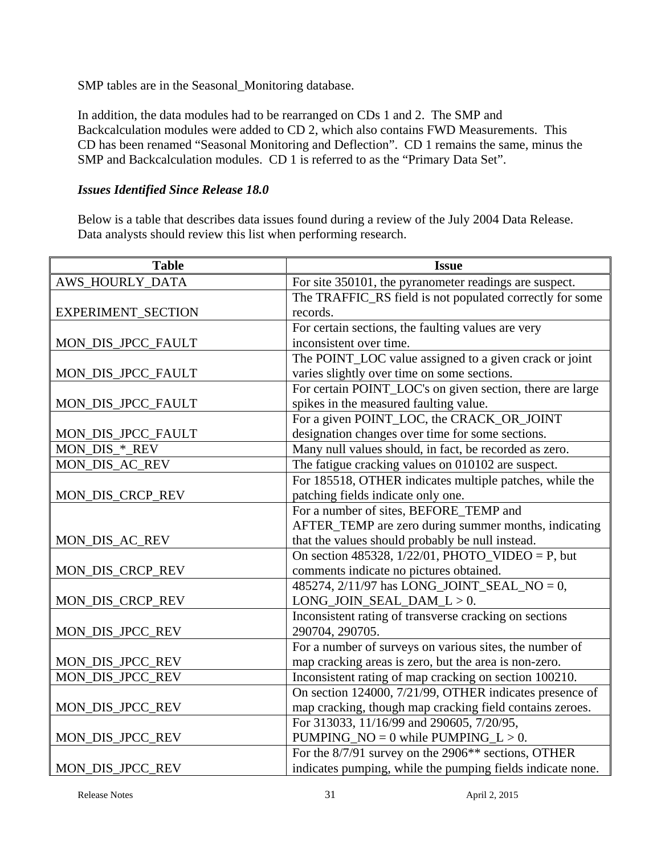SMP tables are in the Seasonal\_Monitoring database.

In addition, the data modules had to be rearranged on CDs 1 and 2. The SMP and Backcalculation modules were added to CD 2, which also contains FWD Measurements. This CD has been renamed "Seasonal Monitoring and Deflection". CD 1 remains the same, minus the SMP and Backcalculation modules. CD 1 is referred to as the "Primary Data Set".

### *Issues Identified Since Release 18.0*

Below is a table that describes data issues found during a review of the July 2004 Data Release. Data analysts should review this list when performing research.

| <b>Table</b>       | <b>Issue</b>                                               |
|--------------------|------------------------------------------------------------|
| AWS_HOURLY_DATA    | For site 350101, the pyranometer readings are suspect.     |
|                    | The TRAFFIC_RS field is not populated correctly for some   |
| EXPERIMENT_SECTION | records.                                                   |
|                    | For certain sections, the faulting values are very         |
| MON_DIS_JPCC_FAULT | inconsistent over time.                                    |
|                    | The POINT_LOC value assigned to a given crack or joint     |
| MON_DIS_JPCC_FAULT | varies slightly over time on some sections.                |
|                    | For certain POINT_LOC's on given section, there are large  |
| MON_DIS_JPCC_FAULT | spikes in the measured faulting value.                     |
|                    | For a given POINT_LOC, the CRACK_OR_JOINT                  |
| MON_DIS_JPCC_FAULT | designation changes over time for some sections.           |
| MON_DIS_*_REV      | Many null values should, in fact, be recorded as zero.     |
| MON_DIS_AC_REV     | The fatigue cracking values on 010102 are suspect.         |
|                    | For 185518, OTHER indicates multiple patches, while the    |
| MON_DIS_CRCP_REV   | patching fields indicate only one.                         |
|                    | For a number of sites, BEFORE_TEMP and                     |
|                    | AFTER_TEMP are zero during summer months, indicating       |
| MON_DIS_AC_REV     | that the values should probably be null instead.           |
|                    | On section 485328, $1/22/01$ , PHOTO_VIDEO = P, but        |
| MON_DIS_CRCP_REV   | comments indicate no pictures obtained.                    |
|                    | 485274, 2/11/97 has LONG_JOINT_SEAL_NO = 0,                |
| MON_DIS_CRCP_REV   | $LONG_JOIN_SEAL_DAM_L > 0.$                                |
|                    | Inconsistent rating of transverse cracking on sections     |
| MON_DIS_JPCC_REV   | 290704, 290705.                                            |
|                    | For a number of surveys on various sites, the number of    |
| MON_DIS_JPCC_REV   | map cracking areas is zero, but the area is non-zero.      |
| MON_DIS_JPCC_REV   | Inconsistent rating of map cracking on section 100210.     |
|                    | On section 124000, 7/21/99, OTHER indicates presence of    |
| MON_DIS_JPCC_REV   | map cracking, though map cracking field contains zeroes.   |
|                    | For 313033, 11/16/99 and 290605, 7/20/95,                  |
| MON_DIS_JPCC_REV   | PUMPING_NO = $0$ while PUMPING_L > 0.                      |
|                    | For the 8/7/91 survey on the 2906** sections, OTHER        |
| MON_DIS_JPCC_REV   | indicates pumping, while the pumping fields indicate none. |

Release Notes 31 April 2, 2015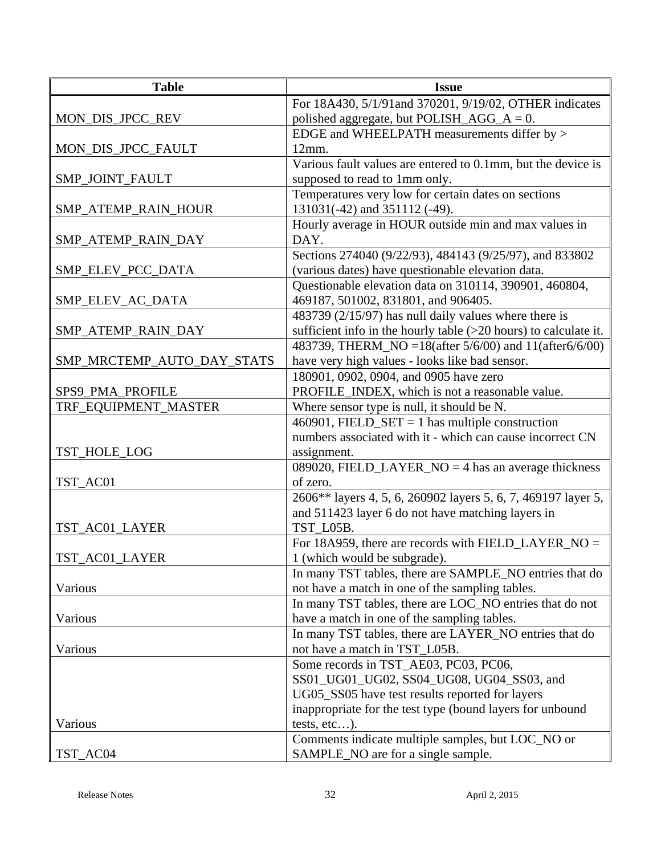| <b>Table</b>               | <b>Issue</b>                                                       |
|----------------------------|--------------------------------------------------------------------|
|                            | For 18A430, 5/1/91and 370201, 9/19/02, OTHER indicates             |
| MON_DIS_JPCC_REV           | polished aggregate, but POLISH_AGG_A = $0$ .                       |
|                            | EDGE and WHEELPATH measurements differ by >                        |
| MON_DIS_JPCC_FAULT         | 12mm.                                                              |
|                            | Various fault values are entered to 0.1mm, but the device is       |
| SMP_JOINT_FAULT            | supposed to read to 1mm only.                                      |
|                            | Temperatures very low for certain dates on sections                |
| SMP_ATEMP_RAIN_HOUR        | 131031(-42) and 351112 (-49).                                      |
|                            | Hourly average in HOUR outside min and max values in               |
| SMP_ATEMP_RAIN_DAY         | DAY.                                                               |
|                            | Sections 274040 (9/22/93), 484143 (9/25/97), and 833802            |
| SMP_ELEV_PCC_DATA          | (various dates) have questionable elevation data.                  |
|                            | Questionable elevation data on 310114, 390901, 460804,             |
| SMP_ELEV_AC_DATA           | 469187, 501002, 831801, and 906405.                                |
|                            | 483739 (2/15/97) has null daily values where there is              |
| SMP_ATEMP_RAIN_DAY         | sufficient info in the hourly table $(>20$ hours) to calculate it. |
|                            | 483739, THERM_NO = 18(after 5/6/00) and 11(after6/6/00)            |
| SMP_MRCTEMP_AUTO_DAY_STATS | have very high values - looks like bad sensor.                     |
|                            | 180901, 0902, 0904, and 0905 have zero                             |
| SPS9_PMA_PROFILE           | PROFILE_INDEX, which is not a reasonable value.                    |
| TRF_EQUIPMENT_MASTER       | Where sensor type is null, it should be N.                         |
|                            | 460901, FIELD_SET = 1 has multiple construction                    |
|                            | numbers associated with it - which can cause incorrect CN          |
| TST_HOLE_LOG               | assignment.                                                        |
|                            | 089020, FIELD_LAYER_NO = 4 has an average thickness                |
| TST_AC01                   | of zero.                                                           |
|                            | 2606** layers 4, 5, 6, 260902 layers 5, 6, 7, 469197 layer 5,      |
|                            | and 511423 layer 6 do not have matching layers in                  |
| TST_AC01_LAYER             | TST L05B.                                                          |
|                            | For 18A959, there are records with FIELD_LAYER_NO =                |
| TST_AC01_LAYER             | 1 (which would be subgrade).                                       |
|                            | In many TST tables, there are SAMPLE_NO entries that do            |
| Various                    | not have a match in one of the sampling tables.                    |
|                            | In many TST tables, there are LOC_NO entries that do not           |
| Various                    | have a match in one of the sampling tables.                        |
|                            | In many TST tables, there are LAYER_NO entries that do             |
| Various                    | not have a match in TST_L05B.                                      |
|                            | Some records in TST_AE03, PC03, PC06,                              |
|                            | SS01_UG01_UG02, SS04_UG08, UG04_SS03, and                          |
|                            | UG05_SS05 have test results reported for layers                    |
|                            | inappropriate for the test type (bound layers for unbound          |
| Various                    | tests, $etc$ ).                                                    |
|                            | Comments indicate multiple samples, but LOC_NO or                  |
| TST_AC04                   | SAMPLE_NO are for a single sample.                                 |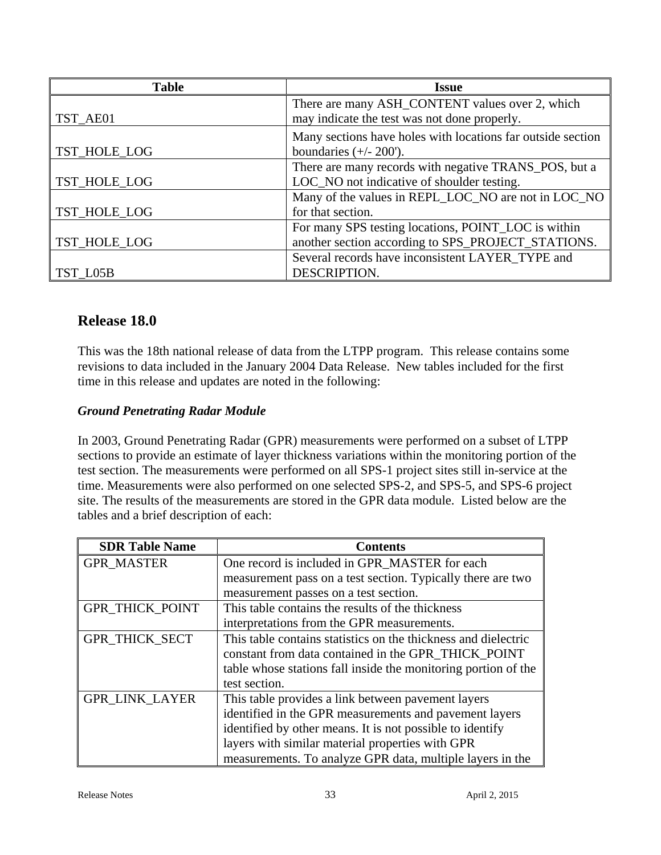| <b>Table</b> | <b>Issue</b>                                                |
|--------------|-------------------------------------------------------------|
|              | There are many ASH_CONTENT values over 2, which             |
| TST_AE01     | may indicate the test was not done properly.                |
|              | Many sections have holes with locations far outside section |
| TST_HOLE_LOG | boundaries $(+/- 200')$ .                                   |
|              | There are many records with negative TRANS_POS, but a       |
| TST_HOLE_LOG | LOC_NO not indicative of shoulder testing.                  |
|              | Many of the values in REPL_LOC_NO are not in LOC_NO         |
| TST_HOLE_LOG | for that section.                                           |
|              | For many SPS testing locations, POINT_LOC is within         |
| TST_HOLE_LOG | another section according to SPS_PROJECT_STATIONS.          |
|              | Several records have inconsistent LAYER TYPE and            |
| TST L05B     | DESCRIPTION.                                                |

# **Release 18.0**

This was the 18th national release of data from the LTPP program. This release contains some revisions to data included in the January 2004 Data Release. New tables included for the first time in this release and updates are noted in the following:

# *Ground Penetrating Radar Module*

In 2003, Ground Penetrating Radar (GPR) measurements were performed on a subset of LTPP sections to provide an estimate of layer thickness variations within the monitoring portion of the test section. The measurements were performed on all SPS-1 project sites still in-service at the time. Measurements were also performed on one selected SPS-2, and SPS-5, and SPS-6 project site. The results of the measurements are stored in the GPR data module. Listed below are the tables and a brief description of each:

| <b>SDR Table Name</b>  | <b>Contents</b>                                                |
|------------------------|----------------------------------------------------------------|
| <b>GPR_MASTER</b>      | One record is included in GPR MASTER for each                  |
|                        | measurement pass on a test section. Typically there are two    |
|                        | measurement passes on a test section.                          |
| <b>GPR THICK POINT</b> | This table contains the results of the thickness               |
|                        | interpretations from the GPR measurements.                     |
| <b>GPR THICK SECT</b>  | This table contains statistics on the thickness and dielectric |
|                        | constant from data contained in the GPR THICK POINT            |
|                        | table whose stations fall inside the monitoring portion of the |
|                        | test section.                                                  |
| <b>GPR LINK LAYER</b>  | This table provides a link between pavement layers             |
|                        | identified in the GPR measurements and pavement layers         |
|                        | identified by other means. It is not possible to identify      |
|                        | layers with similar material properties with GPR               |
|                        | measurements. To analyze GPR data, multiple layers in the      |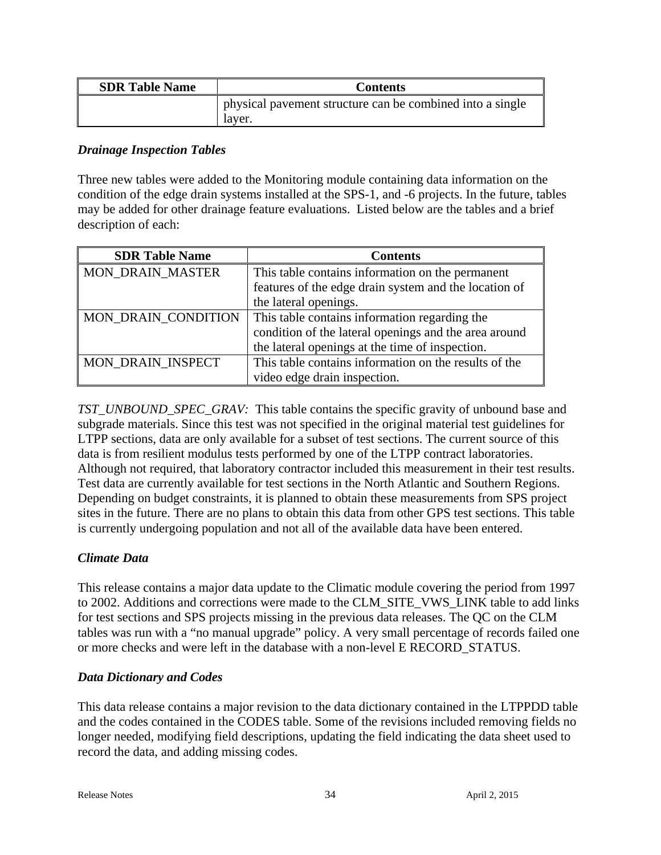| <b>SDR Table Name</b> | <b>Contents</b>                                                     |
|-----------------------|---------------------------------------------------------------------|
|                       | physical pavement structure can be combined into a single<br>laver. |

#### *Drainage Inspection Tables*

Three new tables were added to the Monitoring module containing data information on the condition of the edge drain systems installed at the SPS-1, and -6 projects. In the future, tables may be added for other drainage feature evaluations. Listed below are the tables and a brief description of each:

| <b>SDR Table Name</b>   | <b>Contents</b>                                       |
|-------------------------|-------------------------------------------------------|
| <b>MON DRAIN MASTER</b> | This table contains information on the permanent      |
|                         | features of the edge drain system and the location of |
|                         | the lateral openings.                                 |
| MON_DRAIN_CONDITION     | This table contains information regarding the         |
|                         | condition of the lateral openings and the area around |
|                         | the lateral openings at the time of inspection.       |
| MON DRAIN INSPECT       | This table contains information on the results of the |
|                         | video edge drain inspection.                          |

*TST\_UNBOUND\_SPEC\_GRAV:* This table contains the specific gravity of unbound base and subgrade materials. Since this test was not specified in the original material test guidelines for LTPP sections, data are only available for a subset of test sections. The current source of this data is from resilient modulus tests performed by one of the LTPP contract laboratories. Although not required, that laboratory contractor included this measurement in their test results. Test data are currently available for test sections in the North Atlantic and Southern Regions. Depending on budget constraints, it is planned to obtain these measurements from SPS project sites in the future. There are no plans to obtain this data from other GPS test sections. This table is currently undergoing population and not all of the available data have been entered.

# *Climate Data*

This release contains a major data update to the Climatic module covering the period from 1997 to 2002. Additions and corrections were made to the CLM\_SITE\_VWS\_LINK table to add links for test sections and SPS projects missing in the previous data releases. The QC on the CLM tables was run with a "no manual upgrade" policy. A very small percentage of records failed one or more checks and were left in the database with a non-level E RECORD\_STATUS.

# *Data Dictionary and Codes*

This data release contains a major revision to the data dictionary contained in the LTPPDD table and the codes contained in the CODES table. Some of the revisions included removing fields no longer needed, modifying field descriptions, updating the field indicating the data sheet used to record the data, and adding missing codes.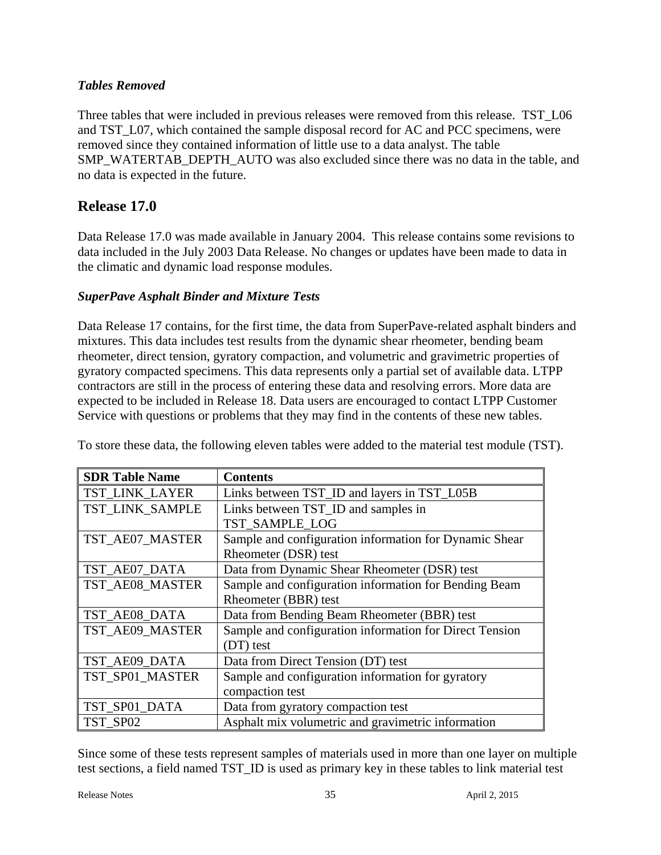# *Tables Removed*

Three tables that were included in previous releases were removed from this release. TST\_L06 and TST\_L07, which contained the sample disposal record for AC and PCC specimens, were removed since they contained information of little use to a data analyst. The table SMP\_WATERTAB\_DEPTH\_AUTO was also excluded since there was no data in the table, and no data is expected in the future.

# **Release 17.0**

Data Release 17.0 was made available in January 2004. This release contains some revisions to data included in the July 2003 Data Release. No changes or updates have been made to data in the climatic and dynamic load response modules.

# *SuperPave Asphalt Binder and Mixture Tests*

Data Release 17 contains, for the first time, the data from SuperPave-related asphalt binders and mixtures. This data includes test results from the dynamic shear rheometer, bending beam rheometer, direct tension, gyratory compaction, and volumetric and gravimetric properties of gyratory compacted specimens. This data represents only a partial set of available data. LTPP contractors are still in the process of entering these data and resolving errors. More data are expected to be included in Release 18. Data users are encouraged to contact LTPP Customer Service with questions or problems that they may find in the contents of these new tables.

| <b>SDR Table Name</b> | <b>Contents</b>                                         |
|-----------------------|---------------------------------------------------------|
| <b>TST LINK LAYER</b> | Links between TST_ID and layers in TST_L05B             |
| TST_LINK_SAMPLE       | Links between TST_ID and samples in                     |
|                       | TST SAMPLE LOG                                          |
| TST_AE07_MASTER       | Sample and configuration information for Dynamic Shear  |
|                       | Rheometer (DSR) test                                    |
| TST_AE07_DATA         | Data from Dynamic Shear Rheometer (DSR) test            |
| TST_AE08_MASTER       | Sample and configuration information for Bending Beam   |
|                       | Rheometer (BBR) test                                    |
| TST AE08 DATA         | Data from Bending Beam Rheometer (BBR) test             |
| TST_AE09_MASTER       | Sample and configuration information for Direct Tension |
|                       | (DT) test                                               |
| TST_AE09_DATA         | Data from Direct Tension (DT) test                      |
| TST_SP01_MASTER       | Sample and configuration information for gyratory       |
|                       | compaction test                                         |
| TST_SP01_DATA         | Data from gyratory compaction test                      |
| TST SP02              | Asphalt mix volumetric and gravimetric information      |

To store these data, the following eleven tables were added to the material test module (TST).

Since some of these tests represent samples of materials used in more than one layer on multiple test sections, a field named TST\_ID is used as primary key in these tables to link material test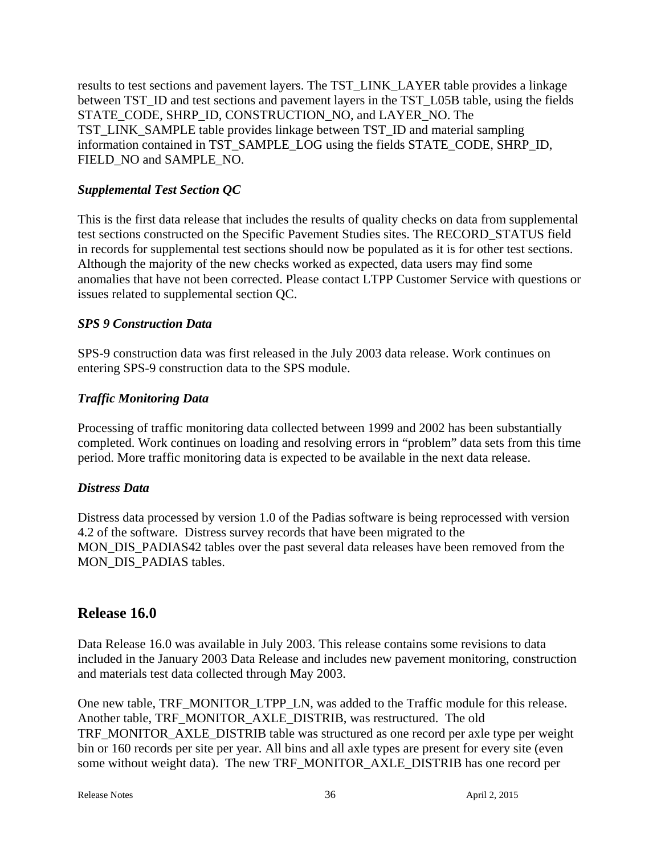results to test sections and pavement layers. The TST\_LINK\_LAYER table provides a linkage between TST\_ID and test sections and pavement layers in the TST\_L05B table, using the fields STATE\_CODE, SHRP\_ID, CONSTRUCTION\_NO, and LAYER\_NO. The TST\_LINK\_SAMPLE table provides linkage between TST\_ID and material sampling information contained in TST\_SAMPLE\_LOG using the fields STATE\_CODE, SHRP\_ID, FIELD\_NO and SAMPLE\_NO.

# *Supplemental Test Section QC*

This is the first data release that includes the results of quality checks on data from supplemental test sections constructed on the Specific Pavement Studies sites. The RECORD\_STATUS field in records for supplemental test sections should now be populated as it is for other test sections. Although the majority of the new checks worked as expected, data users may find some anomalies that have not been corrected. Please contact LTPP Customer Service with questions or issues related to supplemental section QC.

# *SPS 9 Construction Data*

SPS-9 construction data was first released in the July 2003 data release. Work continues on entering SPS-9 construction data to the SPS module.

# *Traffic Monitoring Data*

Processing of traffic monitoring data collected between 1999 and 2002 has been substantially completed. Work continues on loading and resolving errors in "problem" data sets from this time period. More traffic monitoring data is expected to be available in the next data release.

# *Distress Data*

Distress data processed by version 1.0 of the Padias software is being reprocessed with version 4.2 of the software. Distress survey records that have been migrated to the MON\_DIS\_PADIAS42 tables over the past several data releases have been removed from the MON DIS PADIAS tables.

# **Release 16.0**

Data Release 16.0 was available in July 2003. This release contains some revisions to data included in the January 2003 Data Release and includes new pavement monitoring, construction and materials test data collected through May 2003.

One new table, TRF\_MONITOR\_LTPP\_LN, was added to the Traffic module for this release. Another table, TRF\_MONITOR\_AXLE\_DISTRIB, was restructured. The old TRF\_MONITOR\_AXLE\_DISTRIB table was structured as one record per axle type per weight bin or 160 records per site per year. All bins and all axle types are present for every site (even some without weight data). The new TRF\_MONITOR\_AXLE\_DISTRIB has one record per